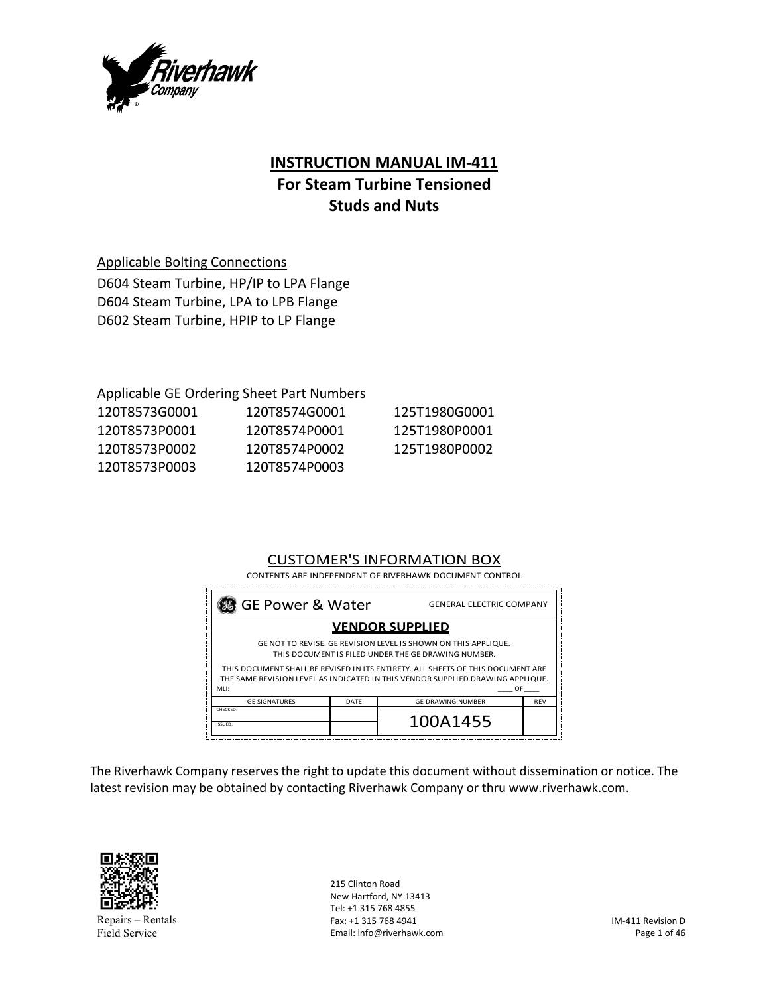

# **INSTRUCTION MANUAL IM‐411**

# **For Steam Turbine Tensioned Studs and Nuts**

Applicable Bolting Connections

D604 Steam Turbine, HP/IP to LPA Flange D604 Steam Turbine, LPA to LPB Flange D602 Steam Turbine, HPIP to LP Flange

## Applicable GE Ordering Sheet Part Numbers

| 120T8573G0001 | 120T8574G0001 | 125T1980G0001 |
|---------------|---------------|---------------|
| 120T8573P0001 | 120T8574P0001 | 125T1980P0001 |
| 120T8573P0002 | 120T8574P0002 | 125T1980P0002 |
| 120T8573P0003 | 120T8574P0003 |               |

# CUSTOMER'S INFORMATION BOX

| CONTENTS ARE INDEPENDENT OF RIVERHAWK DOCUMENT CONTROL                                                                                                            |      |                          |            |
|-------------------------------------------------------------------------------------------------------------------------------------------------------------------|------|--------------------------|------------|
| % GE Power & Water<br><b>GENERAL ELECTRIC COMPANY</b>                                                                                                             |      |                          |            |
| <b>VENDOR SUPPLIED</b>                                                                                                                                            |      |                          |            |
| GE NOT TO REVISE. GE REVISION LEVEL IS SHOWN ON THIS APPLIQUE.<br>THIS DOCUMENT IS FILED UNDER THE GE DRAWING NUMBER.                                             |      |                          |            |
| THIS DOCUMENT SHALL BE REVISED IN ITS ENTIRETY. ALL SHEETS OF THIS DOCUMENT ARE<br>THE SAME REVISION LEVEL AS INDICATED IN THIS VENDOR SUPPLIED DRAWING APPLIQUE. |      |                          |            |
| MLI:                                                                                                                                                              |      | OF                       |            |
| <b>GE SIGNATURES</b>                                                                                                                                              | DATE | <b>GE DRAWING NUMBER</b> | <b>REV</b> |
| CHECKED:<br>ISSUED:                                                                                                                                               |      | 100A1455                 |            |
|                                                                                                                                                                   |      |                          |            |

The Riverhawk Company reserves the right to update this document without dissemination or notice. The latest revision may be obtained by contacting Riverhawk Company or thru www.riverhawk.com.



Repairs – Rentals Field Service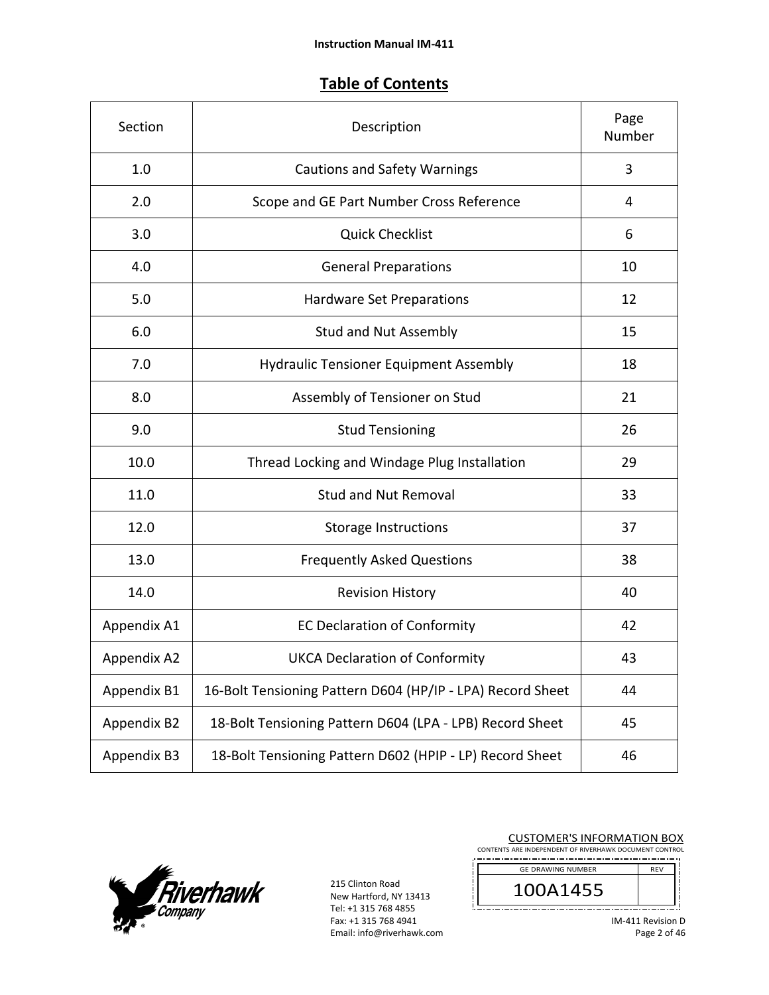# **Table of Contents**

| Section     | Description                                                | Page<br>Number |
|-------------|------------------------------------------------------------|----------------|
| 1.0         | <b>Cautions and Safety Warnings</b>                        | 3              |
| 2.0         | Scope and GE Part Number Cross Reference                   | 4              |
| 3.0         | <b>Quick Checklist</b>                                     | 6              |
| 4.0         | <b>General Preparations</b>                                | 10             |
| 5.0         | <b>Hardware Set Preparations</b>                           | 12             |
| 6.0         | <b>Stud and Nut Assembly</b>                               | 15             |
| 7.0         | <b>Hydraulic Tensioner Equipment Assembly</b>              | 18             |
| 8.0         | Assembly of Tensioner on Stud                              | 21             |
| 9.0         | <b>Stud Tensioning</b>                                     | 26             |
| 10.0        | Thread Locking and Windage Plug Installation               | 29             |
| 11.0        | <b>Stud and Nut Removal</b>                                | 33             |
| 12.0        | <b>Storage Instructions</b>                                | 37             |
| 13.0        | <b>Frequently Asked Questions</b>                          | 38             |
| 14.0        | <b>Revision History</b>                                    | 40             |
| Appendix A1 | <b>EC Declaration of Conformity</b>                        | 42             |
| Appendix A2 | <b>UKCA Declaration of Conformity</b>                      | 43             |
| Appendix B1 | 16-Bolt Tensioning Pattern D604 (HP/IP - LPA) Record Sheet | 44             |
| Appendix B2 | 18-Bolt Tensioning Pattern D604 (LPA - LPB) Record Sheet   | 45             |
| Appendix B3 | 18-Bolt Tensioning Pattern D602 (HPIP - LP) Record Sheet   | 46             |



215 Clinton Road New Hartford, NY 13413 Tel: +1 315 768 4855 Fax: +1 315 768 4941 Email: info@riverhawk.com

| <b>CUSTOMER'S INFORMATION BOX</b><br>CONTENTS ARE INDEPENDENT OF RIVERHAWK DOCUMENT CONTROL |                   |  |
|---------------------------------------------------------------------------------------------|-------------------|--|
| <b>GE DRAWING NUMBER</b>                                                                    | <b>RFV</b>        |  |
| 100A1455                                                                                    |                   |  |
|                                                                                             | IM-411 Revision D |  |

IM‐411 Revision D Page 2 of 46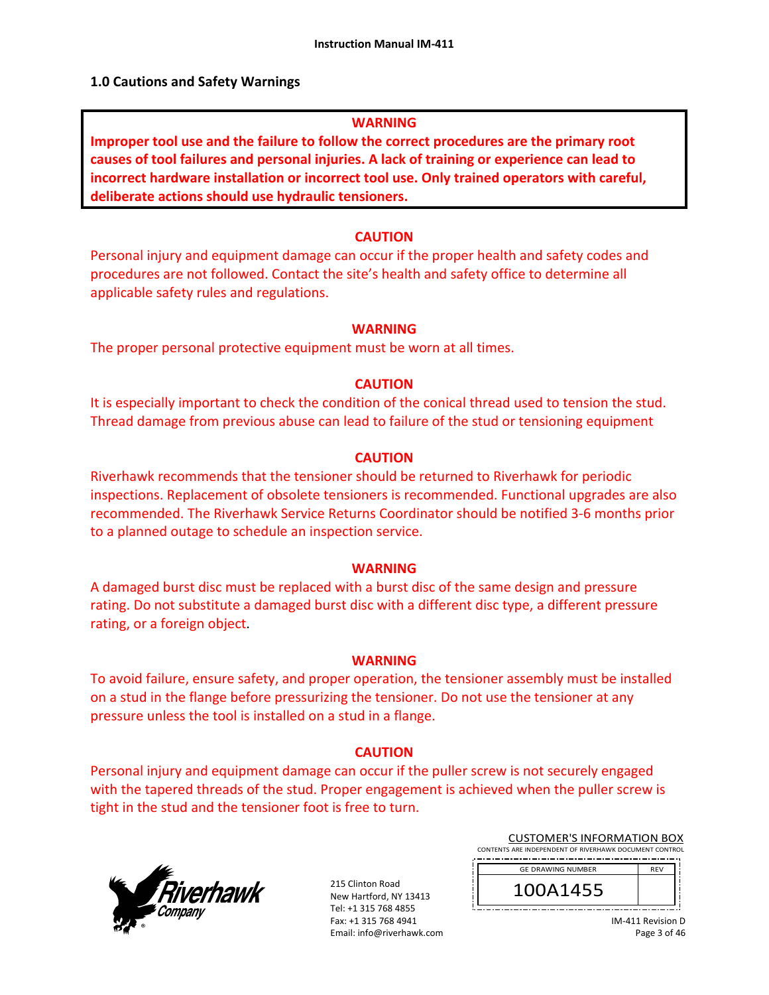## **1.0 Cautions and Safety Warnings**

## **WARNING**

**Improper tool use and the failure to follow the correct procedures are the primary root causes of tool failures and personal injuries. A lack of training or experience can lead to incorrect hardware installation or incorrect tool use. Only trained operators with careful, deliberate actions should use hydraulic tensioners.** 

## **CAUTION**

Personal injury and equipment damage can occur if the proper health and safety codes and procedures are not followed. Contact the site's health and safety office to determine all applicable safety rules and regulations.

## **WARNING**

The proper personal protective equipment must be worn at all times.

## **CAUTION**

It is especially important to check the condition of the conical thread used to tension the stud. Thread damage from previous abuse can lead to failure of the stud or tensioning equipment

## **CAUTION**

Riverhawk recommends that the tensioner should be returned to Riverhawk for periodic inspections. Replacement of obsolete tensioners is recommended. Functional upgrades are also recommended. The Riverhawk Service Returns Coordinator should be notified 3‐6 months prior to a planned outage to schedule an inspection service.

## **WARNING**

A damaged burst disc must be replaced with a burst disc of the same design and pressure rating. Do not substitute a damaged burst disc with a different disc type, a different pressure rating, or a foreign object.

## **WARNING**

To avoid failure, ensure safety, and proper operation, the tensioner assembly must be installed on a stud in the flange before pressurizing the tensioner. Do not use the tensioner at any pressure unless the tool is installed on a stud in a flange.

## **CAUTION**

Personal injury and equipment damage can occur if the puller screw is not securely engaged with the tapered threads of the stud. Proper engagement is achieved when the puller screw is tight in the stud and the tensioner foot is free to turn.



215 Clinton Road New Hartford, NY 13413 Tel: +1 315 768 4855 Fax: +1 315 768 4941 Email: info@riverhawk.com

| CONTENTS ARE INDEPENDENT OF RIVERHAWK DOCUMENT CONTROL |            |  |
|--------------------------------------------------------|------------|--|
|                                                        |            |  |
| <b>GE DRAWING NUMBER</b>                               | <b>RFV</b> |  |
| 100A1455                                               |            |  |
|                                                        |            |  |

CUSTOMER'S INFORMATION BOX

IM‐411 Revision D Page 3 of 46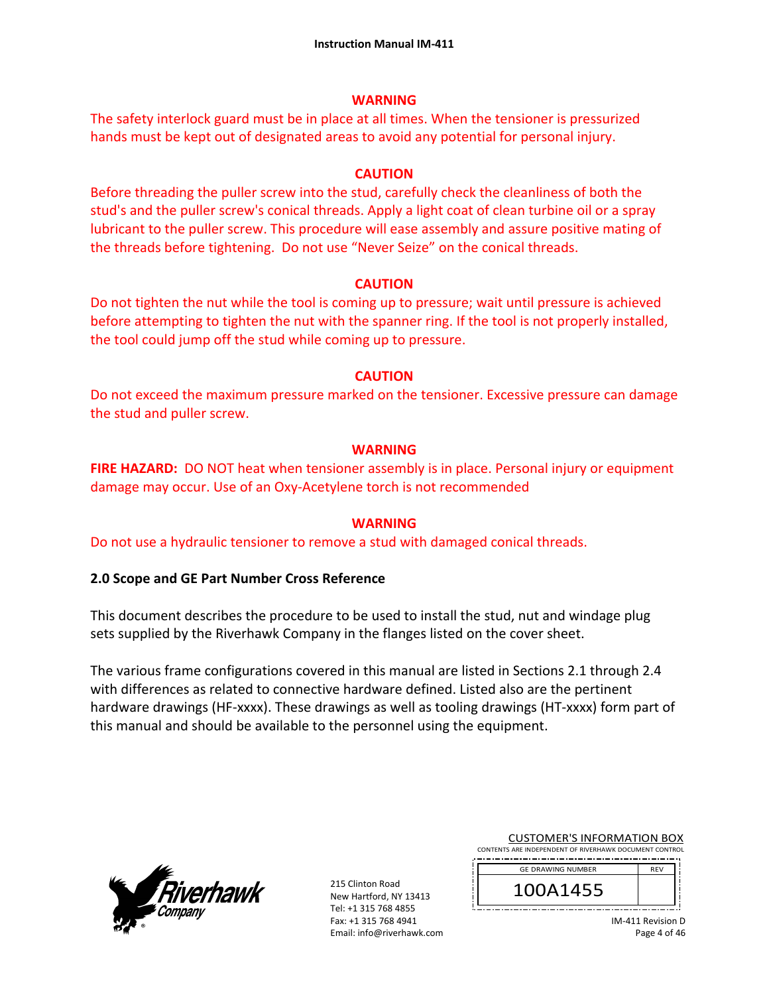## **WARNING**

The safety interlock guard must be in place at all times. When the tensioner is pressurized hands must be kept out of designated areas to avoid any potential for personal injury.

## **CAUTION**

Before threading the puller screw into the stud, carefully check the cleanliness of both the stud's and the puller screw's conical threads. Apply a light coat of clean turbine oil or a spray lubricant to the puller screw. This procedure will ease assembly and assure positive mating of the threads before tightening. Do not use "Never Seize" on the conical threads.

## **CAUTION**

Do not tighten the nut while the tool is coming up to pressure; wait until pressure is achieved before attempting to tighten the nut with the spanner ring. If the tool is not properly installed, the tool could jump off the stud while coming up to pressure.

## **CAUTION**

Do not exceed the maximum pressure marked on the tensioner. Excessive pressure can damage the stud and puller screw.

## **WARNING**

**FIRE HAZARD:** DO NOT heat when tensioner assembly is in place. Personal injury or equipment damage may occur. Use of an Oxy‐Acetylene torch is not recommended

## **WARNING**

Do not use a hydraulic tensioner to remove a stud with damaged conical threads.

## **2.0 Scope and GE Part Number Cross Reference**

This document describes the procedure to be used to install the stud, nut and windage plug sets supplied by the Riverhawk Company in the flanges listed on the cover sheet.

The various frame configurations covered in this manual are listed in Sections 2.1 through 2.4 with differences as related to connective hardware defined. Listed also are the pertinent hardware drawings (HF-xxxx). These drawings as well as tooling drawings (HT-xxxx) form part of this manual and should be available to the personnel using the equipment.



215 Clinton Road New Hartford, NY 13413 Tel: +1 315 768 4855 Fax: +1 315 768 4941 Email: info@riverhawk.com

| CONTENTS ARE INDEPENDENT OF RIVERHAWK DOCUMENT CONTROL |            |
|--------------------------------------------------------|------------|
| <b>GE DRAWING NUMBER</b>                               | <b>RFV</b> |
| 100A1455                                               |            |
|                                                        |            |

CUSTOMER'S INFORMATION BOX

IM‐411 Revision D Page 4 of 46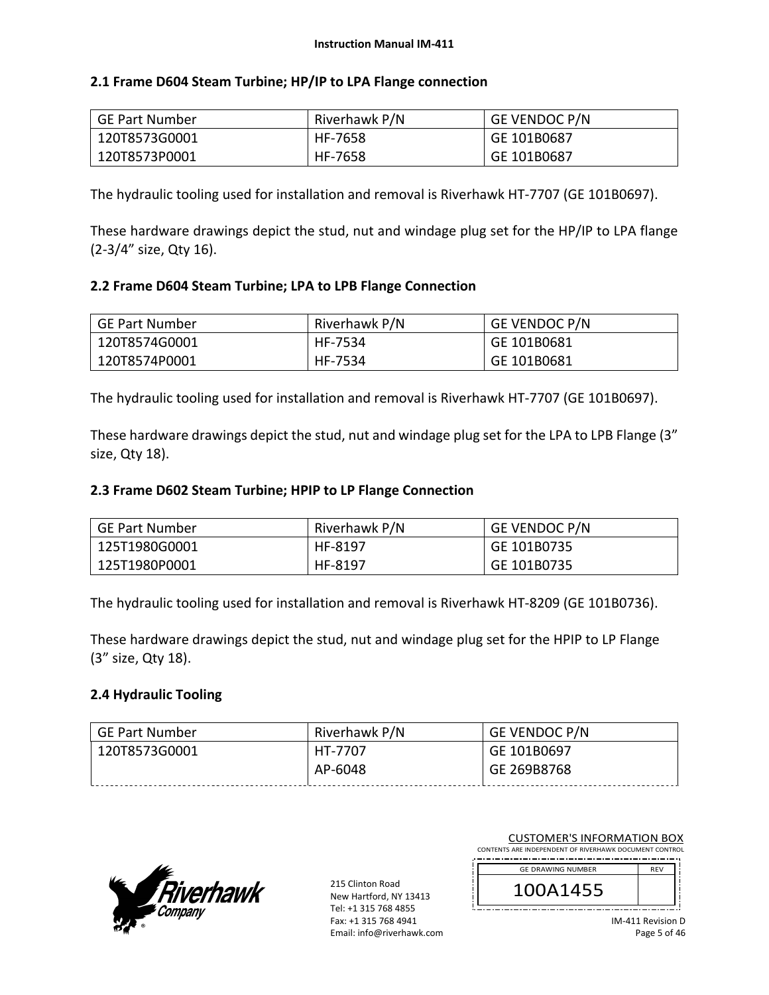## **2.1 Frame D604 Steam Turbine; HP/IP to LPA Flange connection**

| GE Part Number | Riverhawk P/N | <b>GE VENDOC P/N</b> |
|----------------|---------------|----------------------|
| 120T8573G0001  | HF-7658       | GE 101B0687          |
| 120T8573P0001  | HF-7658       | GE 101B0687          |

The hydraulic tooling used for installation and removal is Riverhawk HT‐7707 (GE 101B0697).

These hardware drawings depict the stud, nut and windage plug set for the HP/IP to LPA flange (2‐3/4" size, Qty 16).

# **2.2 Frame D604 Steam Turbine; LPA to LPB Flange Connection**

| GE Part Number | Riverhawk P/N | <b>GE VENDOC P/N</b> |
|----------------|---------------|----------------------|
| 120T8574G0001  | HF-7534       | GE 101B0681          |
| 120T8574P0001  | HF-7534       | GE 101B0681          |

The hydraulic tooling used for installation and removal is Riverhawk HT‐7707 (GE 101B0697).

These hardware drawings depict the stud, nut and windage plug set for the LPA to LPB Flange (3" size, Qty 18).

## **2.3 Frame D602 Steam Turbine; HPIP to LP Flange Connection**

| GE Part Number | Riverhawk P/N | <b>GE VENDOC P/N</b> |
|----------------|---------------|----------------------|
| 125T1980G0001  | HF-8197       | GE 101B0735          |
| 125T1980P0001  | HF-8197       | GE 101B0735          |

The hydraulic tooling used for installation and removal is Riverhawk HT‐8209 (GE 101B0736).

These hardware drawings depict the stud, nut and windage plug set for the HPIP to LP Flange (3" size, Qty 18).

## **2.4 Hydraulic Tooling**

| GE Part Number | Riverhawk P/N | <b>GE VENDOC P/N</b> |
|----------------|---------------|----------------------|
| 120T8573G0001  | HT-7707       | GE 101B0697          |
|                | AP-6048       | GE 269B8768          |



215 Clinton Road New Hartford, NY 13413 Tel: +1 315 768 4855 Fax: +1 315 768 4941 Email: info@riverhawk.com

| CONTENTS ARE INDEPENDENT OF RIVERHAWK DOCUMENT CONTROL |            |
|--------------------------------------------------------|------------|
| <b>GE DRAWING NUMBER</b>                               | <b>RFV</b> |
| 100A1455                                               |            |

CUSTOMER'S INFORMATION BOX

IM‐411 Revision D Page 5 of 46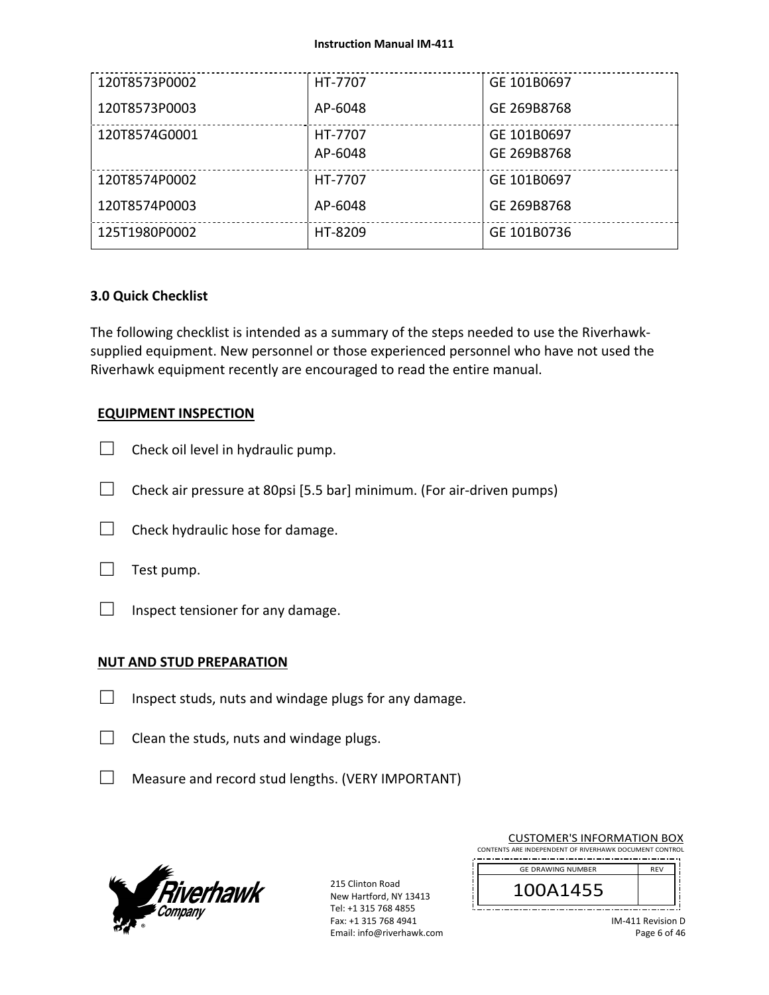| 120T8573P0002 | HT-7707 | GE 101B0697 |
|---------------|---------|-------------|
| 120T8573P0003 | AP-6048 | GE 269B8768 |
| 120T8574G0001 | HT-7707 | GE 101B0697 |
|               | AP-6048 | GE 269B8768 |
| 120T8574P0002 | HT-7707 | GE 101B0697 |
| 120T8574P0003 | AP-6048 | GE 269B8768 |
| 125T1980P0002 | HT-8209 | GE 101B0736 |

## **3.0 Quick Checklist**

The following checklist is intended as a summary of the steps needed to use the Riverhawk‐ supplied equipment. New personnel or those experienced personnel who have not used the Riverhawk equipment recently are encouraged to read the entire manual.

## **EQUIPMENT INSPECTION**

- $\Box$  Check oil level in hydraulic pump.
- $\Box$  Check air pressure at 80psi [5.5 bar] minimum. (For air-driven pumps)
- $\Box$  Check hydraulic hose for damage.



 $\Box$  Inspect tensioner for any damage.

## **NUT AND STUD PREPARATION**

- $\Box$  Inspect studs, nuts and windage plugs for any damage.
- $\Box$  Clean the studs, nuts and windage plugs.
- □ Measure and record stud lengths. (VERY IMPORTANT)



215 Clinton Road New Hartford, NY 13413 Tel: +1 315 768 4855 Fax: +1 315 768 4941 Email: info@riverhawk.com

| CONTENTS ARE INDEPENDENT OF RIVERHAWK DOCUMENT CONTROL |            |
|--------------------------------------------------------|------------|
| <b>GE DRAWING NUMBER</b>                               | <b>RFV</b> |
| 100A1455                                               |            |
|                                                        |            |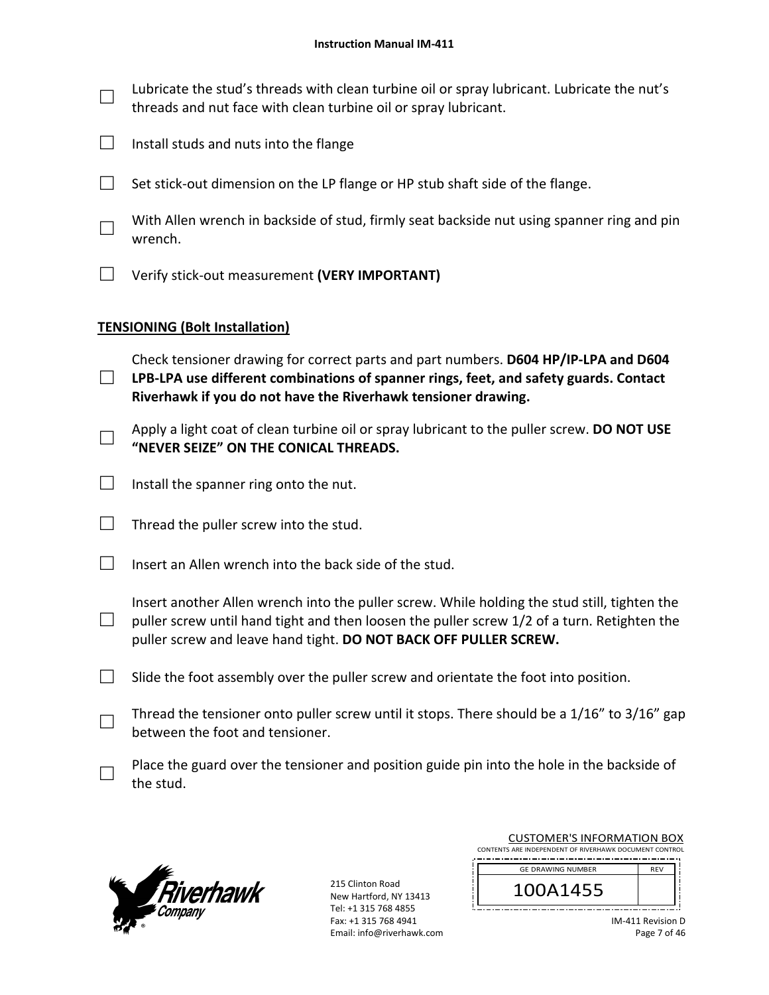$\Box$  Lubricate the stud's threads with clean turbine oil or spray lubricant. Lubricate the nut's threads and nut face with clean turbine oil or spray lubricant.

- $\Box$  Install studs and nuts into the flange
- $\Box$  Set stick-out dimension on the LP flange or HP stub shaft side of the flange.
	- With Allen wrench in backside of stud, firmly seat backside nut using spanner ring and pin wrench.
- □ Verify stick‐out measurement **(VERY IMPORTANT)**

# **TENSIONING (Bolt Installation)**

- □ Check tensioner drawing for correct parts and part numbers. **D604 HP/IP‐LPA and D604 LPB‐LPA use different combinations of spanner rings, feet, and safety guards. Contact Riverhawk if you do not have the Riverhawk tensioner drawing.**
- □ Apply a light coat of clean turbine oil or spray lubricant to the puller screw. **DO NOT USE "NEVER SEIZE" ON THE CONICAL THREADS.**
- $\Box$  Install the spanner ring onto the nut.
- $\Box$  Thread the puller screw into the stud.
- $\Box$  Insert an Allen wrench into the back side of the stud.
- □ Insert another Allen wrench into the puller screw. While holding the stud still, tighten the puller screw until hand tight and then loosen the puller screw 1/2 of a turn. Retighten the puller screw and leave hand tight. **DO NOT BACK OFF PULLER SCREW.**
- $\Box$  Slide the foot assembly over the puller screw and orientate the foot into position.
- Thread the tensioner onto puller screw until it stops. There should be a  $1/16"$  to  $3/16"$  gap between the foot and tensioner.
- $\Box$  Place the guard over the tensioner and position guide pin into the hole in the backside of the stud.



215 Clinton Road New Hartford, NY 13413 Tel: +1 315 768 4855 Fax: +1 315 768 4941 Email: info@riverhawk.com

| CONTENTS ARE INDEPENDENT OF RIVERHAWK DOCUMENT CONTROL |  |  |
|--------------------------------------------------------|--|--|
| <b>RFV</b>                                             |  |  |
|                                                        |  |  |
|                                                        |  |  |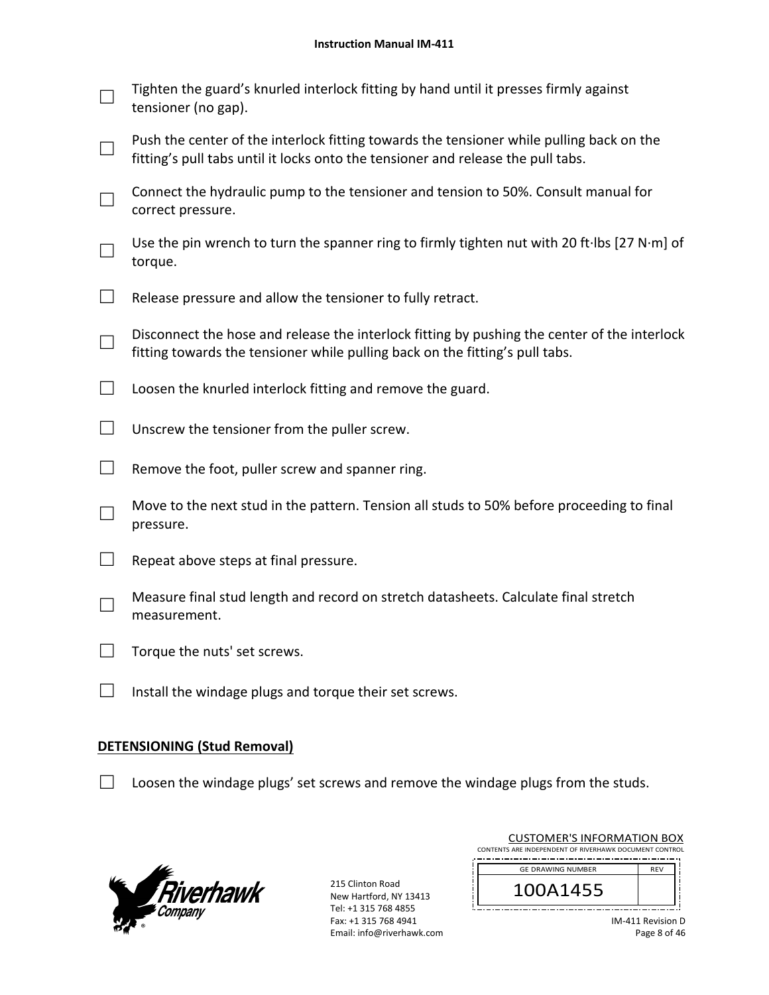|        | Tighten the guard's knurled interlock fitting by hand until it presses firmly against<br>tensioner (no gap).                                                                 |
|--------|------------------------------------------------------------------------------------------------------------------------------------------------------------------------------|
|        | Push the center of the interlock fitting towards the tensioner while pulling back on the<br>fitting's pull tabs until it locks onto the tensioner and release the pull tabs. |
|        | Connect the hydraulic pump to the tensioner and tension to 50%. Consult manual for<br>correct pressure.                                                                      |
|        | Use the pin wrench to turn the spanner ring to firmly tighten nut with 20 ft·lbs [27 N·m] of<br>torque.                                                                      |
|        | Release pressure and allow the tensioner to fully retract.                                                                                                                   |
|        | Disconnect the hose and release the interlock fitting by pushing the center of the interlock<br>fitting towards the tensioner while pulling back on the fitting's pull tabs. |
|        | Loosen the knurled interlock fitting and remove the guard.                                                                                                                   |
|        | Unscrew the tensioner from the puller screw.                                                                                                                                 |
| $\Box$ | Remove the foot, puller screw and spanner ring.                                                                                                                              |
|        | Move to the next stud in the pattern. Tension all studs to 50% before proceeding to final<br>pressure.                                                                       |
|        | Repeat above steps at final pressure.                                                                                                                                        |
|        | Measure final stud length and record on stretch datasheets. Calculate final stretch<br>measurement.                                                                          |
|        | Torque the nuts' set screws.                                                                                                                                                 |
|        | Install the windage plugs and torque their set screws.                                                                                                                       |

## **DETENSIONING (Stud Removal)**

□ Loosen the windage plugs' set screws and remove the windage plugs from the studs.



| <b>CUSTOMER'S INFORMATION BOX</b><br>CONTENTS ARE INDEPENDENT OF RIVERHAWK DOCUMENT CONTROL |            |
|---------------------------------------------------------------------------------------------|------------|
| <b>GE DRAWING NUMBER</b>                                                                    | <b>RFV</b> |
| 100A1455                                                                                    |            |
|                                                                                             |            |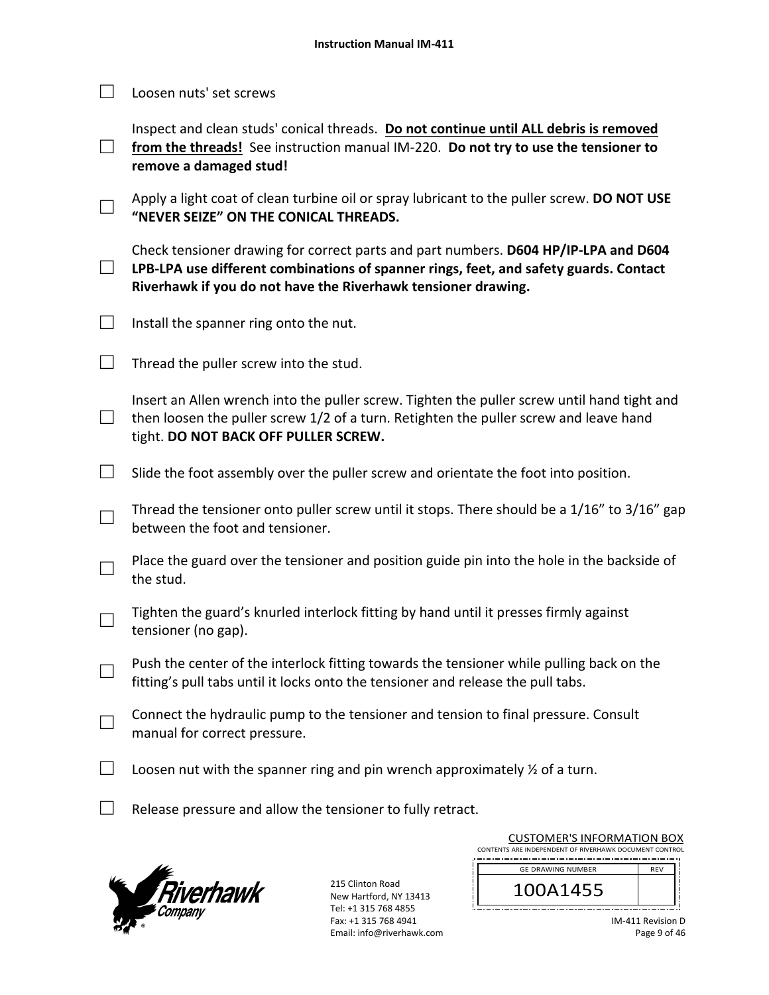|  | $\Box$ Loosen nuts' set screws |
|--|--------------------------------|
|  |                                |

Inspect and clean studs' conical threads. **Do not continue until ALL debris is removed**  from the threads! See instruction manual IM-220. Do not try to use the tensioner to

□ **remove a damaged stud!** 

□ Apply a light coat of clean turbine oil or spray lubricant to the puller screw. **DO NOT USE "NEVER SEIZE" ON THE CONICAL THREADS.**

□ Check tensioner drawing for correct parts and part numbers. **D604 HP/IP‐LPA and D604 LPB‐LPA use different combinations of spanner rings, feet, and safety guards. Contact Riverhawk if you do not have the Riverhawk tensioner drawing.**

 $\Box$  Install the spanner ring onto the nut.

 $\Box$  Thread the puller screw into the stud.

□ Insert an Allen wrench into the puller screw. Tighten the puller screw until hand tight and then loosen the puller screw 1/2 of a turn. Retighten the puller screw and leave hand tight. **DO NOT BACK OFF PULLER SCREW.**

 $\Box$  Slide the foot assembly over the puller screw and orientate the foot into position.

Thread the tensioner onto puller screw until it stops. There should be a  $1/16"$  to  $3/16"$  gap between the foot and tensioner.

 $\Box$  Place the guard over the tensioner and position guide pin into the hole in the backside of the stud.

 $\Box$  Tighten the guard's knurled interlock fitting by hand until it presses firmly against tensioner (no gap).

 $\Box$  Push the center of the interlock fitting towards the tensioner while pulling back on the fitting's pull tabs until it locks onto the tensioner and release the pull tabs.

 $\Box$  Connect the hydraulic pump to the tensioner and tension to final pressure. Consult manual for correct pressure.

 $\Box$  Loosen nut with the spanner ring and pin wrench approximately  $\frac{1}{2}$  of a turn.

 $\Box$  Release pressure and allow the tensioner to fully retract.



215 Clinton Road New Hartford, NY 13413 Tel: +1 315 768 4855 Fax: +1 315 768 4941 Email: info@riverhawk.com

| COSTOIVIEI\ 9 II\I OI\IVII \I IOI\ DOM                 |            |  |  |  |
|--------------------------------------------------------|------------|--|--|--|
| CONTENTS ARE INDEPENDENT OF RIVERHAWK DOCUMENT CONTROL |            |  |  |  |
| <b>GE DRAWING NUMBER</b>                               | <b>REV</b> |  |  |  |
| 100A1455                                               |            |  |  |  |
|                                                        |            |  |  |  |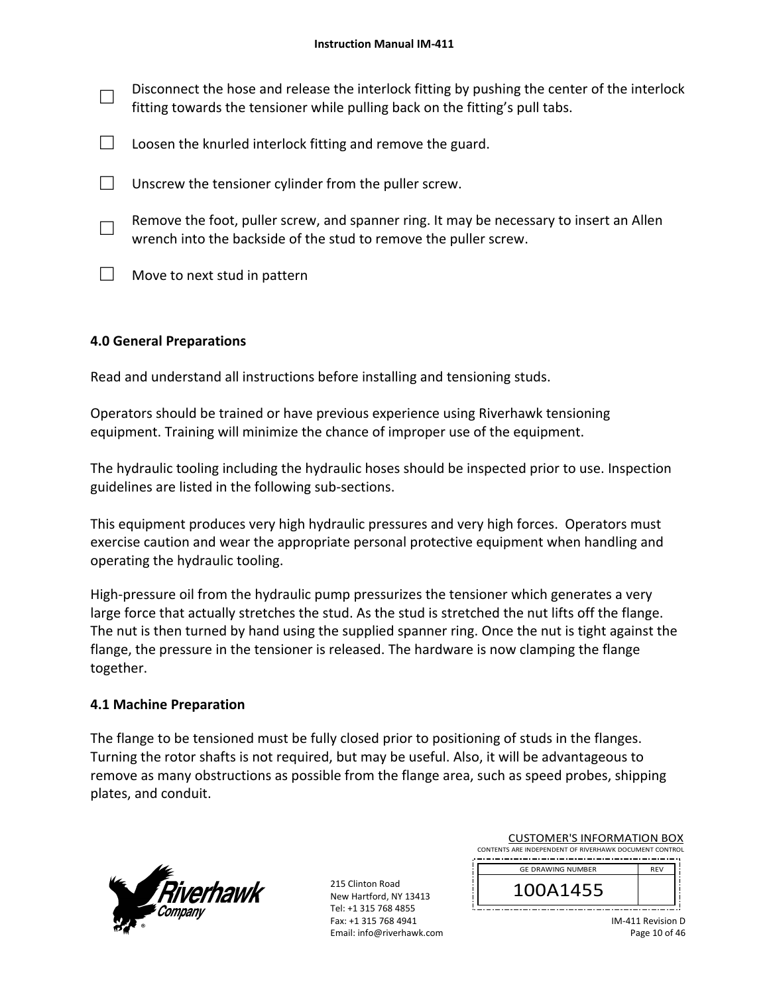| Disconnect the hose and release the interlock fitting by pushing the center of the interlock<br>fitting towards the tensioner while pulling back on the fitting's pull tabs. |
|------------------------------------------------------------------------------------------------------------------------------------------------------------------------------|
| Loosen the knurled interlock fitting and remove the guard.                                                                                                                   |
| Unscrew the tensioner cylinder from the puller screw.                                                                                                                        |
| Remove the foot, puller screw, and spanner ring. It may be necessary to insert an Allen<br>wrench into the backside of the stud to remove the puller screw.                  |
| Move to next stud in pattern                                                                                                                                                 |

# **4.0 General Preparations**

Read and understand all instructions before installing and tensioning studs.

Operators should be trained or have previous experience using Riverhawk tensioning equipment. Training will minimize the chance of improper use of the equipment.

The hydraulic tooling including the hydraulic hoses should be inspected prior to use. Inspection guidelines are listed in the following sub‐sections.

This equipment produces very high hydraulic pressures and very high forces. Operators must exercise caution and wear the appropriate personal protective equipment when handling and operating the hydraulic tooling.

High-pressure oil from the hydraulic pump pressurizes the tensioner which generates a very large force that actually stretches the stud. As the stud is stretched the nut lifts off the flange. The nut is then turned by hand using the supplied spanner ring. Once the nut is tight against the flange, the pressure in the tensioner is released. The hardware is now clamping the flange together.

## **4.1 Machine Preparation**

The flange to be tensioned must be fully closed prior to positioning of studs in the flanges. Turning the rotor shafts is not required, but may be useful. Also, it will be advantageous to remove as many obstructions as possible from the flange area, such as speed probes, shipping plates, and conduit.



215 Clinton Road New Hartford, NY 13413 Tel: +1 315 768 4855 Fax: +1 315 768 4941 Email: info@riverhawk.com

| CONTENTS ARE INDEPENDENT OF RIVERHAWK DOCUMENT CONTROL |            |  |
|--------------------------------------------------------|------------|--|
| <b>GE DRAWING NUMBER</b>                               | <b>RFV</b> |  |
| 100A1455                                               |            |  |

CUSTOMER'S INFORMATION BOX

IM‐411 Revision D Page 10 of 46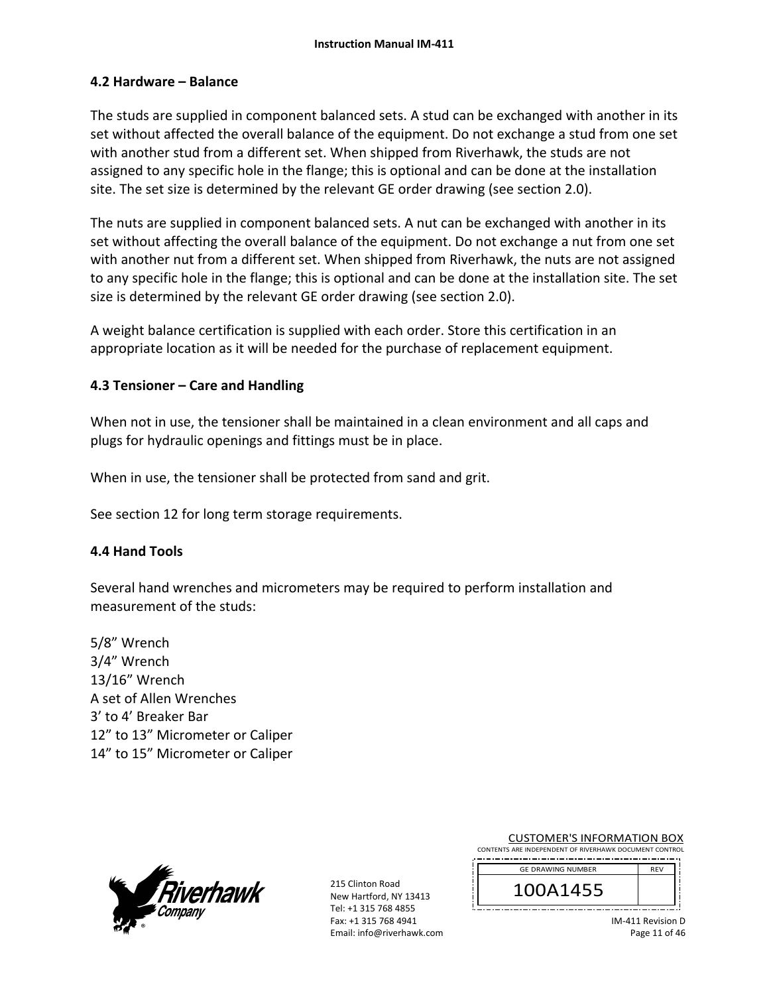## **4.2 Hardware – Balance**

The studs are supplied in component balanced sets. A stud can be exchanged with another in its set without affected the overall balance of the equipment. Do not exchange a stud from one set with another stud from a different set. When shipped from Riverhawk, the studs are not assigned to any specific hole in the flange; this is optional and can be done at the installation site. The set size is determined by the relevant GE order drawing (see section 2.0).

The nuts are supplied in component balanced sets. A nut can be exchanged with another in its set without affecting the overall balance of the equipment. Do not exchange a nut from one set with another nut from a different set. When shipped from Riverhawk, the nuts are not assigned to any specific hole in the flange; this is optional and can be done at the installation site. The set size is determined by the relevant GE order drawing (see section 2.0).

A weight balance certification is supplied with each order. Store this certification in an appropriate location as it will be needed for the purchase of replacement equipment.

## **4.3 Tensioner – Care and Handling**

When not in use, the tensioner shall be maintained in a clean environment and all caps and plugs for hydraulic openings and fittings must be in place.

When in use, the tensioner shall be protected from sand and grit.

See section 12 for long term storage requirements.

## **4.4 Hand Tools**

Several hand wrenches and micrometers may be required to perform installation and measurement of the studs:

5/8" Wrench 3/4" Wrench 13/16" Wrench A set of Allen Wrenches 3' to 4' Breaker Bar 12" to 13" Micrometer or Caliper 14" to 15" Micrometer or Caliper



215 Clinton Road New Hartford, NY 13413 Tel: +1 315 768 4855 Fax: +1 315 768 4941 Email: info@riverhawk.com

| CONTENTS ARE INDEPENDENT OF RIVERHAWK DOCUMENT CONTROL |            |  |
|--------------------------------------------------------|------------|--|
| <b>GE DRAWING NUMBER</b>                               | <b>RFV</b> |  |
| 100A1455                                               |            |  |

CUSTOMER'S INFORMATION BOX

IM‐411 Revision D Page 11 of 46

Jį.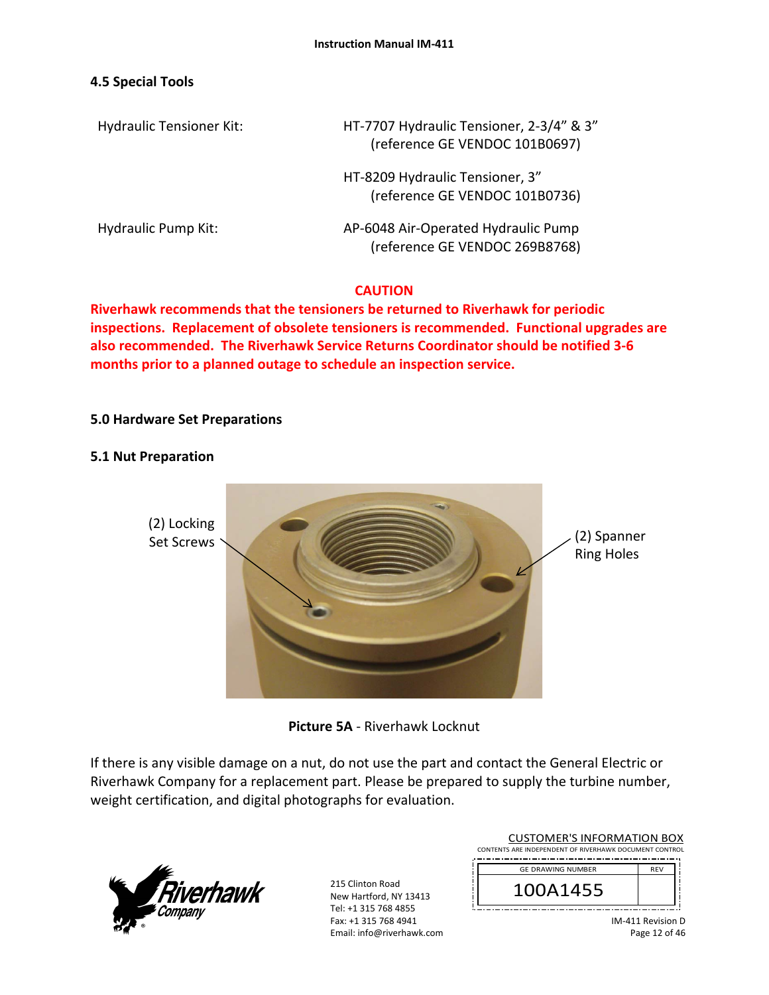## **4.5 Special Tools**

Hydraulic Tensioner Kit: HT‐7707 Hydraulic Tensioner, 2‐3/4" & 3" (reference GE VENDOC 101B0697)

> HT‐8209 Hydraulic Tensioner, 3" (reference GE VENDOC 101B0736)

Hydraulic Pump Kit: 
and the Manus AP-6048 Air-Operated Hydraulic Pump (reference GE VENDOC 269B8768)

## **CAUTION**

**Riverhawk recommends that the tensioners be returned to Riverhawk for periodic inspections. Replacement of obsolete tensioners is recommended. Functional upgrades are also recommended. The Riverhawk Service Returns Coordinator should be notified 3‐6 months prior to a planned outage to schedule an inspection service.** 

## **5.0 Hardware Set Preparations**

## **5.1 Nut Preparation**



**Picture 5A** ‐ Riverhawk Locknut

If there is any visible damage on a nut, do not use the part and contact the General Electric or Riverhawk Company for a replacement part. Please be prepared to supply the turbine number, weight certification, and digital photographs for evaluation.



| <b>CUSTOMER'S INFORMATION BOX</b>                      |            |  |  |
|--------------------------------------------------------|------------|--|--|
| CONTENTS ARE INDEPENDENT OF RIVERHAWK DOCUMENT CONTROL |            |  |  |
| <b>GE DRAWING NUMBER</b>                               | <b>REV</b> |  |  |
|                                                        |            |  |  |
| 100A1455                                               |            |  |  |
|                                                        |            |  |  |
|                                                        |            |  |  |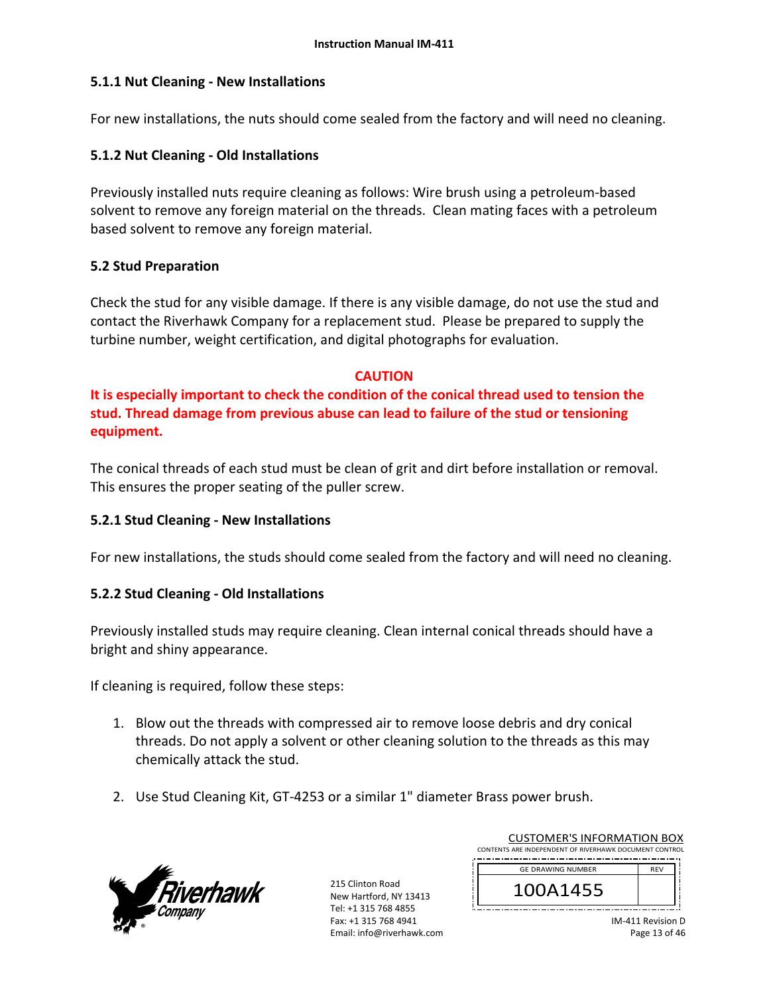# **5.1.1 Nut Cleaning ‐ New Installations**

For new installations, the nuts should come sealed from the factory and will need no cleaning.

# **5.1.2 Nut Cleaning ‐ Old Installations**

Previously installed nuts require cleaning as follows: Wire brush using a petroleum‐based solvent to remove any foreign material on the threads. Clean mating faces with a petroleum based solvent to remove any foreign material.

## **5.2 Stud Preparation**

Check the stud for any visible damage. If there is any visible damage, do not use the stud and contact the Riverhawk Company for a replacement stud. Please be prepared to supply the turbine number, weight certification, and digital photographs for evaluation.

# **CAUTION**

**It is especially important to check the condition of the conical thread used to tension the stud. Thread damage from previous abuse can lead to failure of the stud or tensioning equipment.**

The conical threads of each stud must be clean of grit and dirt before installation or removal. This ensures the proper seating of the puller screw.

# **5.2.1 Stud Cleaning ‐ New Installations**

For new installations, the studs should come sealed from the factory and will need no cleaning.

# **5.2.2 Stud Cleaning ‐ Old Installations**

Previously installed studs may require cleaning. Clean internal conical threads should have a bright and shiny appearance.

If cleaning is required, follow these steps:

- 1. Blow out the threads with compressed air to remove loose debris and dry conical threads. Do not apply a solvent or other cleaning solution to the threads as this may chemically attack the stud.
- 2. Use Stud Cleaning Kit, GT‐4253 or a similar 1" diameter Brass power brush.



215 Clinton Road New Hartford, NY 13413 Tel: +1 315 768 4855 Fax: +1 315 768 4941 Email: info@riverhawk.com

| CONTENTS ARE INDEPENDENT OF RIVERHAWK DOCUMENT CONTROL |
|--------------------------------------------------------|
| <b>RFV</b>                                             |
|                                                        |
|                                                        |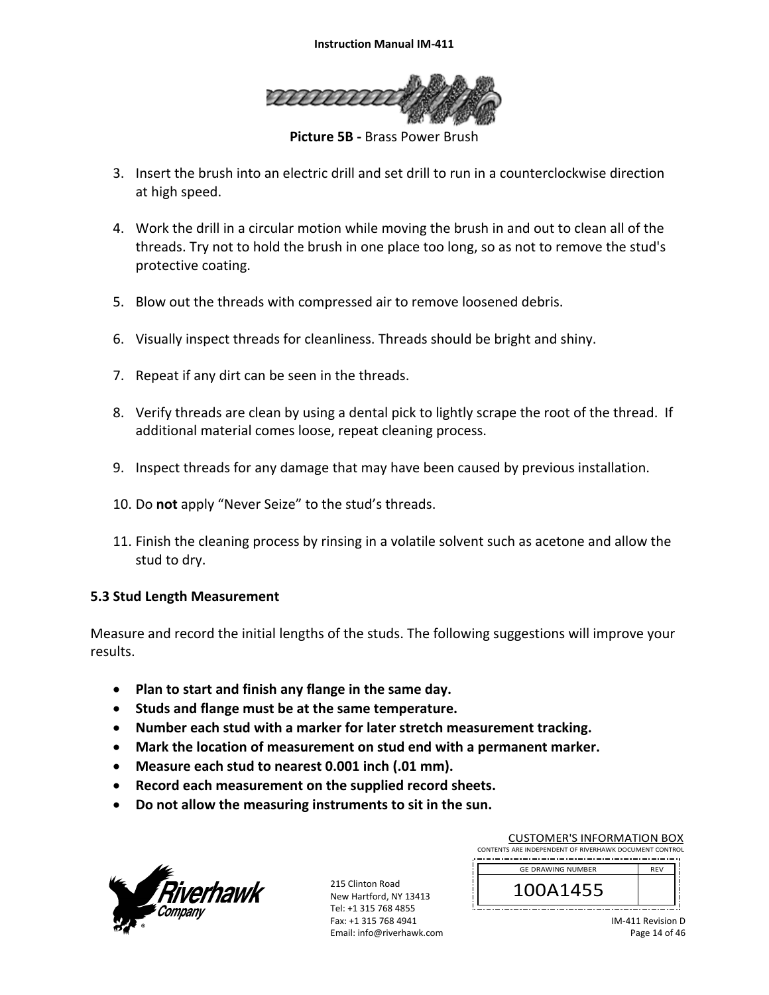

**Picture 5B ‐** Brass Power Brush

- 3. Insert the brush into an electric drill and set drill to run in a counterclockwise direction at high speed.
- 4. Work the drill in a circular motion while moving the brush in and out to clean all of the threads. Try not to hold the brush in one place too long, so as not to remove the stud's protective coating.
- 5. Blow out the threads with compressed air to remove loosened debris.
- 6. Visually inspect threads for cleanliness. Threads should be bright and shiny.
- 7. Repeat if any dirt can be seen in the threads.
- 8. Verify threads are clean by using a dental pick to lightly scrape the root of the thread. If additional material comes loose, repeat cleaning process.
- 9. Inspect threads for any damage that may have been caused by previous installation.
- 10. Do **not** apply "Never Seize" to the stud's threads.
- 11. Finish the cleaning process by rinsing in a volatile solvent such as acetone and allow the stud to dry.

## **5.3 Stud Length Measurement**

Measure and record the initial lengths of the studs. The following suggestions will improve your results.

- **Plan to start and finish any flange in the same day.**
- **Studs and flange must be at the same temperature.**
- **Number each stud with a marker for later stretch measurement tracking.**
- **Mark the location of measurement on stud end with a permanent marker.**
- **Measure each stud to nearest 0.001 inch (.01 mm).**
- **Record each measurement on the supplied record sheets.**
- **Do not allow the measuring instruments to sit in the sun.**



215 Clinton Road New Hartford, NY 13413 Tel: +1 315 768 4855 Fax: +1 315 768 4941 Email: info@riverhawk.com

| <b>CUSTOMER'S INFORMATION BOX</b>                      |            |  |
|--------------------------------------------------------|------------|--|
| CONTENTS ARE INDEPENDENT OF RIVERHAWK DOCUMENT CONTROL |            |  |
| <b>GE DRAWING NUMBER</b>                               | <b>RFV</b> |  |
| 100A1455                                               |            |  |
|                                                        |            |  |

IM‐411 Revision D Page 14 of 46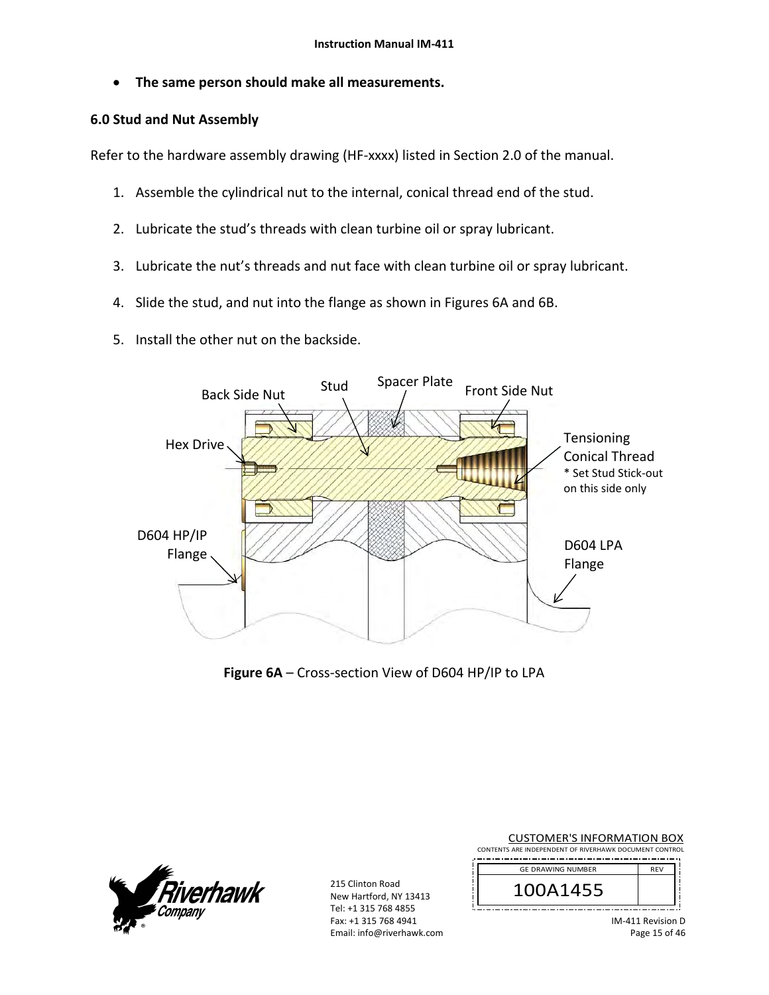**The same person should make all measurements.** 

## **6.0 Stud and Nut Assembly**

Refer to the hardware assembly drawing (HF‐xxxx) listed in Section 2.0 of the manual.

- 1. Assemble the cylindrical nut to the internal, conical thread end of the stud.
- 2. Lubricate the stud's threads with clean turbine oil or spray lubricant.
- 3. Lubricate the nut's threads and nut face with clean turbine oil or spray lubricant.
- 4. Slide the stud, and nut into the flange as shown in Figures 6A and 6B.
- 5. Install the other nut on the backside.



**Figure 6A** – Cross‐section View of D604 HP/IP to LPA



215 Clinton Road New Hartford, NY 13413 Tel: +1 315 768 4855 Fax: +1 315 768 4941 Email: info@riverhawk.com

| <b>CUSTOMER'S INFORMATION BOX</b>                      |                   |
|--------------------------------------------------------|-------------------|
| CONTENTS ARE INDEPENDENT OF RIVERHAWK DOCUMENT CONTROL |                   |
| <b>GE DRAWING NUMBER</b>                               | <b>RFV</b>        |
| 100A1455                                               |                   |
|                                                        | IM-411 Revision D |

IM‐411 Revision D Page 15 of 46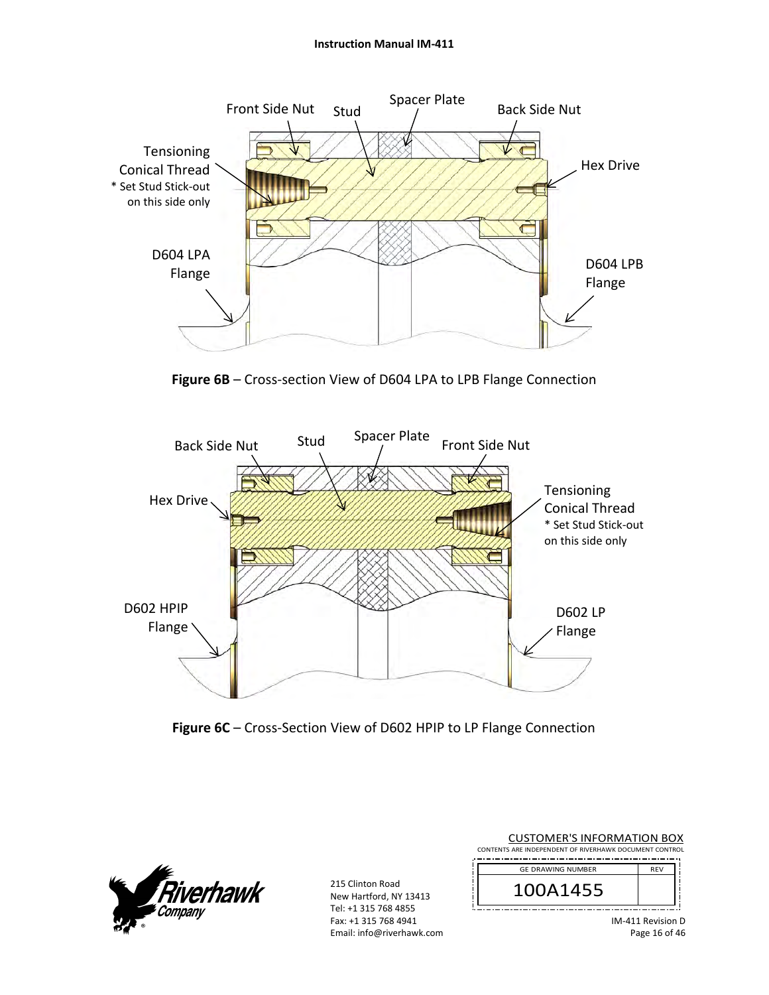#### **Instruction Manual IM‐411**



Figure 6B – Cross-section View of D604 LPA to LPB Flange Connection



Figure 6C – Cross-Section View of D602 HPIP to LP Flange Connection



| <b>CUSTOMER'S INFORMATION BOX</b>                      |                     |
|--------------------------------------------------------|---------------------|
| CONTENTS ARE INDEPENDENT OF RIVERHAWK DOCUMENT CONTROL |                     |
| <b>GE DRAWING NUMBER</b>                               | <b>RFV</b>          |
| 100A1455                                               |                     |
|                                                        | $IM-411$ Revision D |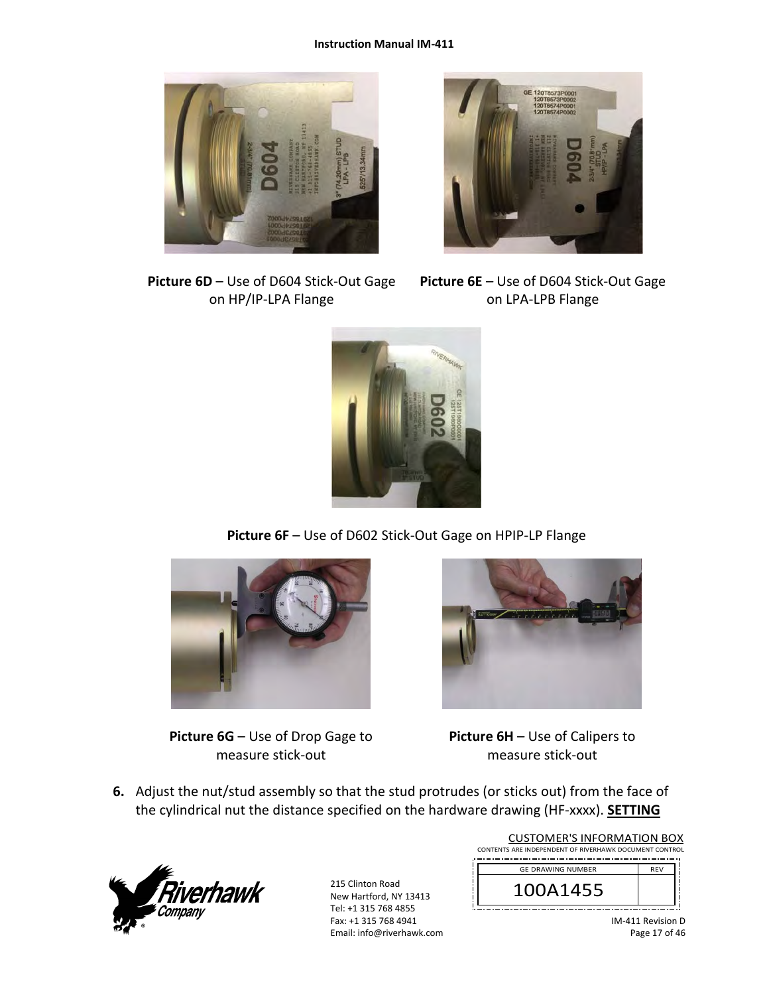#### **Instruction Manual IM‐411**





**Picture 6D** – Use of D604 Stick‐Out Gage on HP/IP‐LPA Flange

**Picture 6E** – Use of D604 Stick‐Out Gage on LPA‐LPB Flange



**Picture 6F** – Use of D602 Stick‐Out Gage on HPIP‐LP Flange



**Picture 6G** – Use of Drop Gage to measure stick‐out



**Picture 6H** – Use of Calipers to measure stick‐out

**6.** Adjust the nut/stud assembly so that the stud protrudes (or sticks out) from the face of the cylindrical nut the distance specified on the hardware drawing (HF‐xxxx). **SETTING** 



| <b>CUSTOMER'S INFORMATION BOX</b>                      |            |  |  |
|--------------------------------------------------------|------------|--|--|
| CONTENTS ARE INDEPENDENT OF RIVERHAWK DOCUMENT CONTROL |            |  |  |
|                                                        |            |  |  |
| <b>GE DRAWING NUMBER</b>                               | <b>RFV</b> |  |  |
| 100A1455                                               |            |  |  |
|                                                        |            |  |  |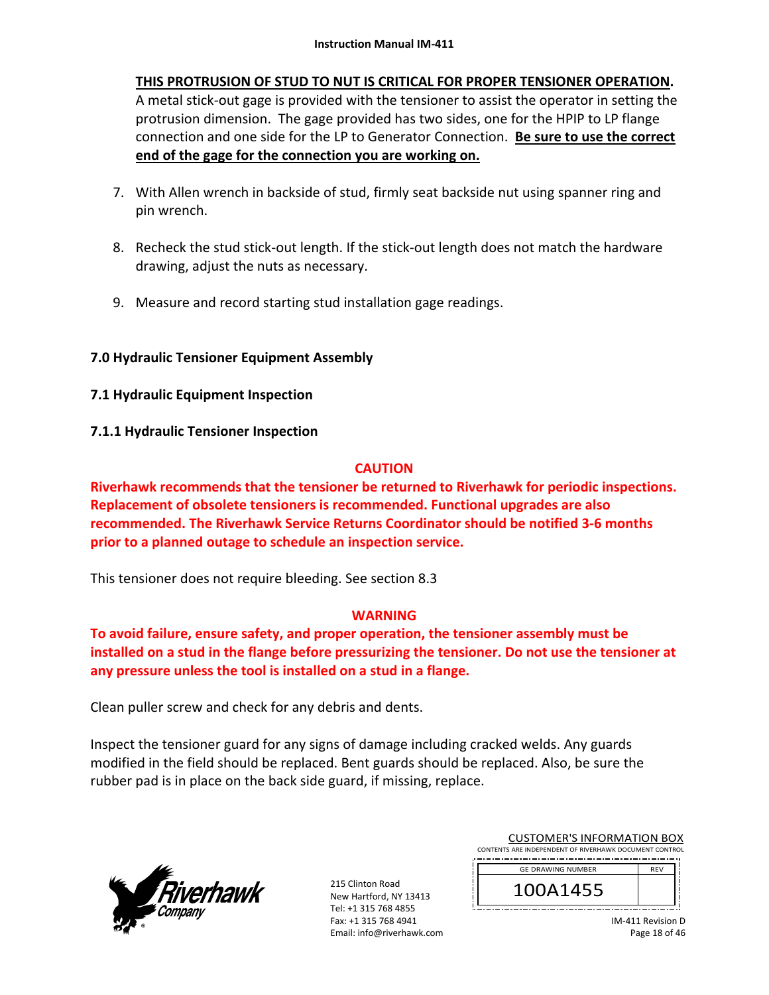# **THIS PROTRUSION OF STUD TO NUT IS CRITICAL FOR PROPER TENSIONER OPERATION.**

A metal stick‐out gage is provided with the tensioner to assist the operator in setting the protrusion dimension. The gage provided has two sides, one for the HPIP to LP flange connection and one side for the LP to Generator Connection. **Be sure to use the correct end of the gage for the connection you are working on.** 

- 7. With Allen wrench in backside of stud, firmly seat backside nut using spanner ring and pin wrench.
- 8. Recheck the stud stick-out length. If the stick-out length does not match the hardware drawing, adjust the nuts as necessary.
- 9. Measure and record starting stud installation gage readings.

# **7.0 Hydraulic Tensioner Equipment Assembly**

- **7.1 Hydraulic Equipment Inspection**
- **7.1.1 Hydraulic Tensioner Inspection**

# **CAUTION**

**Riverhawk recommends that the tensioner be returned to Riverhawk for periodic inspections. Replacement of obsolete tensioners is recommended. Functional upgrades are also recommended. The Riverhawk Service Returns Coordinator should be notified 3‐6 months prior to a planned outage to schedule an inspection service.** 

This tensioner does not require bleeding. See section 8.3

# **WARNING**

**To avoid failure, ensure safety, and proper operation, the tensioner assembly must be installed on a stud in the flange before pressurizing the tensioner. Do not use the tensioner at any pressure unless the tool is installed on a stud in a flange.** 

Clean puller screw and check for any debris and dents.

Inspect the tensioner guard for any signs of damage including cracked welds. Any guards modified in the field should be replaced. Bent guards should be replaced. Also, be sure the rubber pad is in place on the back side guard, if missing, replace.



215 Clinton Road New Hartford, NY 13413 Tel: +1 315 768 4855 Fax: +1 315 768 4941 Email: info@riverhawk.com

| CONTENTS ARE INDEPENDENT OF RIVERHAWK DOCUMENT CONTROL |            |
|--------------------------------------------------------|------------|
| <b>GE DRAWING NUMBER</b>                               | <b>RFV</b> |
| 100A1455                                               |            |
|                                                        |            |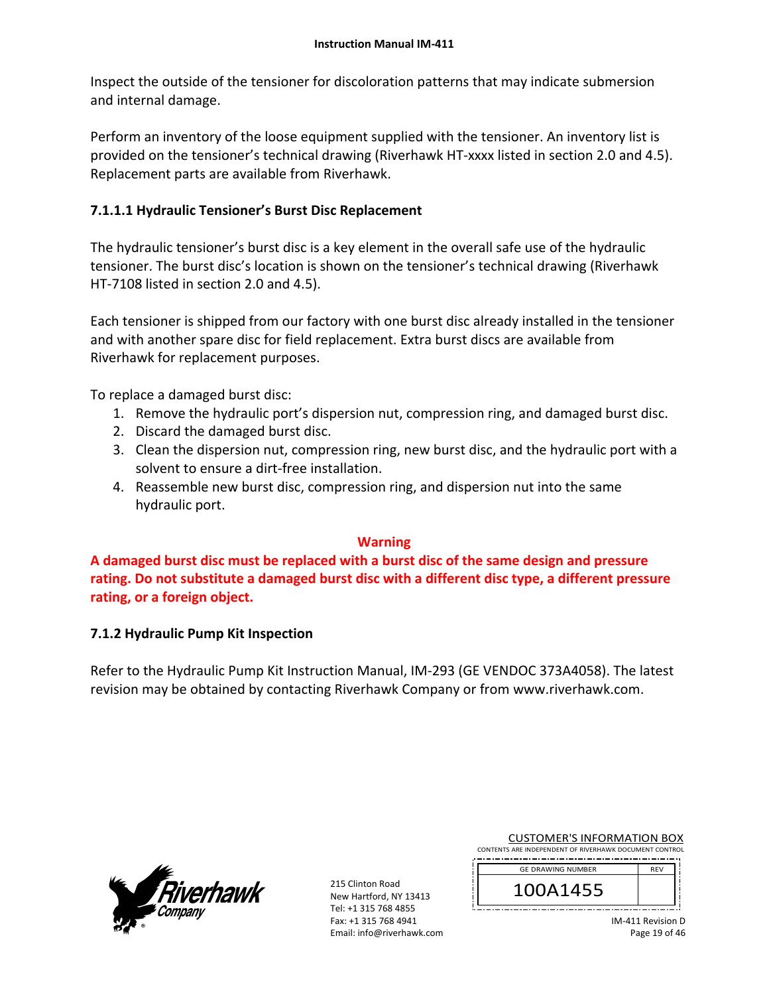Inspect the outside of the tensioner for discoloration patterns that may indicate submersion and internal damage.

Perform an inventory of the loose equipment supplied with the tensioner. An inventory list is provided on the tensioner's technical drawing (Riverhawk HT‐xxxx listed in section 2.0 and 4.5). Replacement parts are available from Riverhawk.

# **7.1.1.1 Hydraulic Tensioner's Burst Disc Replacement**

The hydraulic tensioner's burst disc is a key element in the overall safe use of the hydraulic tensioner. The burst disc's location is shown on the tensioner's technical drawing (Riverhawk HT‐7108 listed in section 2.0 and 4.5).

Each tensioner is shipped from our factory with one burst disc already installed in the tensioner and with another spare disc for field replacement. Extra burst discs are available from Riverhawk for replacement purposes.

To replace a damaged burst disc:

- 1. Remove the hydraulic port's dispersion nut, compression ring, and damaged burst disc.
- 2. Discard the damaged burst disc.
- 3. Clean the dispersion nut, compression ring, new burst disc, and the hydraulic port with a solvent to ensure a dirt‐free installation.
- 4. Reassemble new burst disc, compression ring, and dispersion nut into the same hydraulic port.

# **Warning**

**A damaged burst disc must be replaced with a burst disc of the same design and pressure rating. Do not substitute a damaged burst disc with a different disc type, a different pressure rating, or a foreign object.**

# **7.1.2 Hydraulic Pump Kit Inspection**

Refer to the Hydraulic Pump Kit Instruction Manual, IM‐293 (GE VENDOC 373A4058). The latest revision may be obtained by contacting Riverhawk Company or from www.riverhawk.com.



215 Clinton Road New Hartford, NY 13413 Tel: +1 315 768 4855 Fax: +1 315 768 4941 Email: info@riverhawk.com

| <b>CUSTOMER'S INFORMATION BOX</b>                      |
|--------------------------------------------------------|
| CONTENTS ARE INDEPENDENT OF RIVERHAWK DOCUMENT CONTROL |
|                                                        |

| <b>GE DRAWING NUMBER</b> | <b>RFV</b> |
|--------------------------|------------|
| JA1455                   |            |
|                          |            |

IM‐411 Revision D Page 19 of 46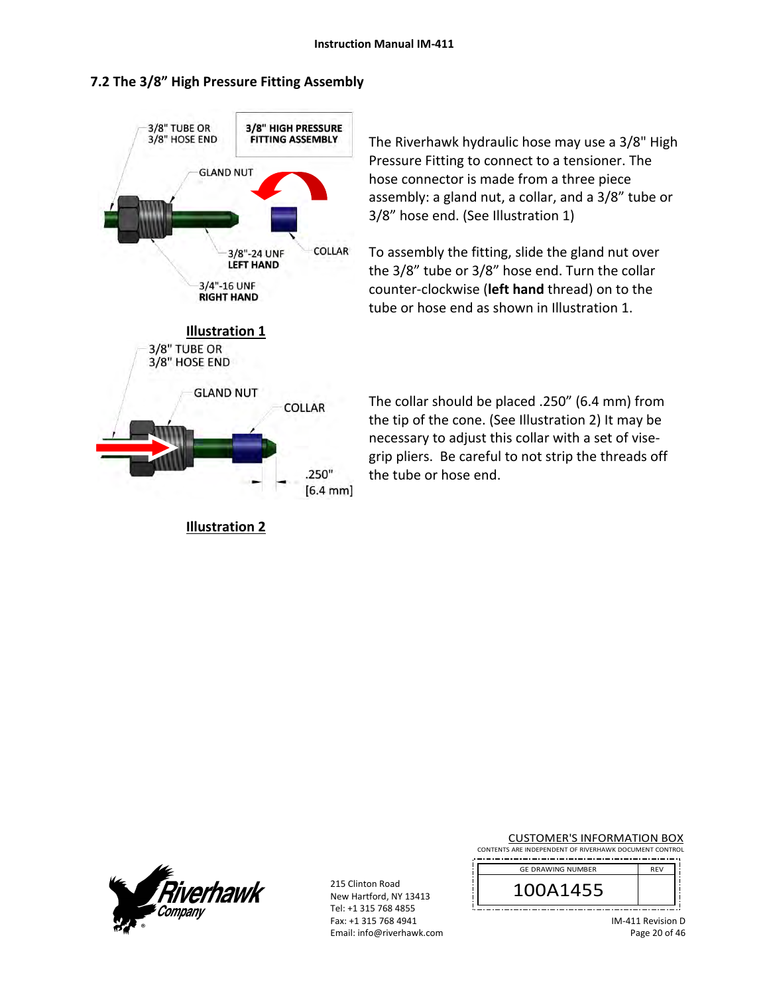## **7.2 The 3/8" High Pressure Fitting Assembly**



**Illustration 2** 

The Riverhawk hydraulic hose may use a 3/8" High Pressure Fitting to connect to a tensioner. The hose connector is made from a three piece assembly: a gland nut, a collar, and a 3/8" tube or 3/8" hose end. (See Illustration 1)

To assembly the fitting, slide the gland nut over the 3/8" tube or 3/8" hose end. Turn the collar counter‐clockwise (**left hand** thread) on to the tube or hose end as shown in Illustration 1.

The collar should be placed .250" (6.4 mm) from the tip of the cone. (See Illustration 2) It may be necessary to adjust this collar with a set of vise‐ grip pliers. Be careful to not strip the threads off the tube or hose end.



215 Clinton Road New Hartford, NY 13413 Tel: +1 315 768 4855 Fax: +1 315 768 4941 Email: info@riverhawk.com CUSTOMER'S INFORMATION BOX

CONTENTS ARE INDEPENDENT OF RIVERHAWK DOCUMENT CONTROL 

| <b>GE DRAWING NUMBER</b> | <b>RFV</b> |
|--------------------------|------------|
| 100A1455                 |            |
|                          |            |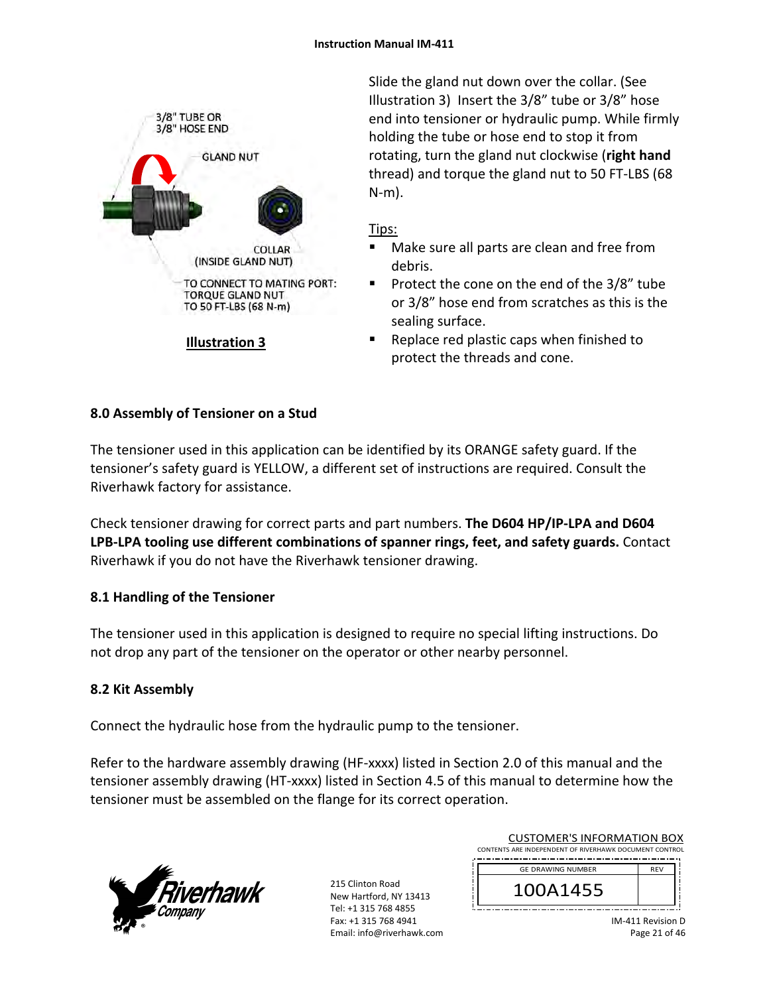

Slide the gland nut down over the collar. (See Illustration 3) Insert the 3/8" tube or 3/8" hose end into tensioner or hydraulic pump. While firmly holding the tube or hose end to stop it from rotating, turn the gland nut clockwise (**right hand** thread) and torque the gland nut to 50 FT‐LBS (68 N‐m).

# Tips:

- Make sure all parts are clean and free from debris.
- **Protect the cone on the end of the 3/8" tube** or 3/8" hose end from scratches as this is the sealing surface.
- Replace red plastic caps when finished to protect the threads and cone.

# **8.0 Assembly of Tensioner on a Stud**

The tensioner used in this application can be identified by its ORANGE safety guard. If the tensioner's safety guard is YELLOW, a different set of instructions are required. Consult the Riverhawk factory for assistance.

Check tensioner drawing for correct parts and part numbers. **The D604 HP/IP‐LPA and D604 LPB‐LPA tooling use different combinations of spanner rings, feet, and safety guards.** Contact Riverhawk if you do not have the Riverhawk tensioner drawing.

# **8.1 Handling of the Tensioner**

The tensioner used in this application is designed to require no special lifting instructions. Do not drop any part of the tensioner on the operator or other nearby personnel.

# **8.2 Kit Assembly**

Connect the hydraulic hose from the hydraulic pump to the tensioner.

Refer to the hardware assembly drawing (HF-xxxx) listed in Section 2.0 of this manual and the tensioner assembly drawing (HT‐xxxx) listed in Section 4.5 of this manual to determine how the tensioner must be assembled on the flange for its correct operation.



| <b>GE DRAWING NUMBER</b> | <b>RFV</b> |
|--------------------------|------------|
| 100A1455                 |            |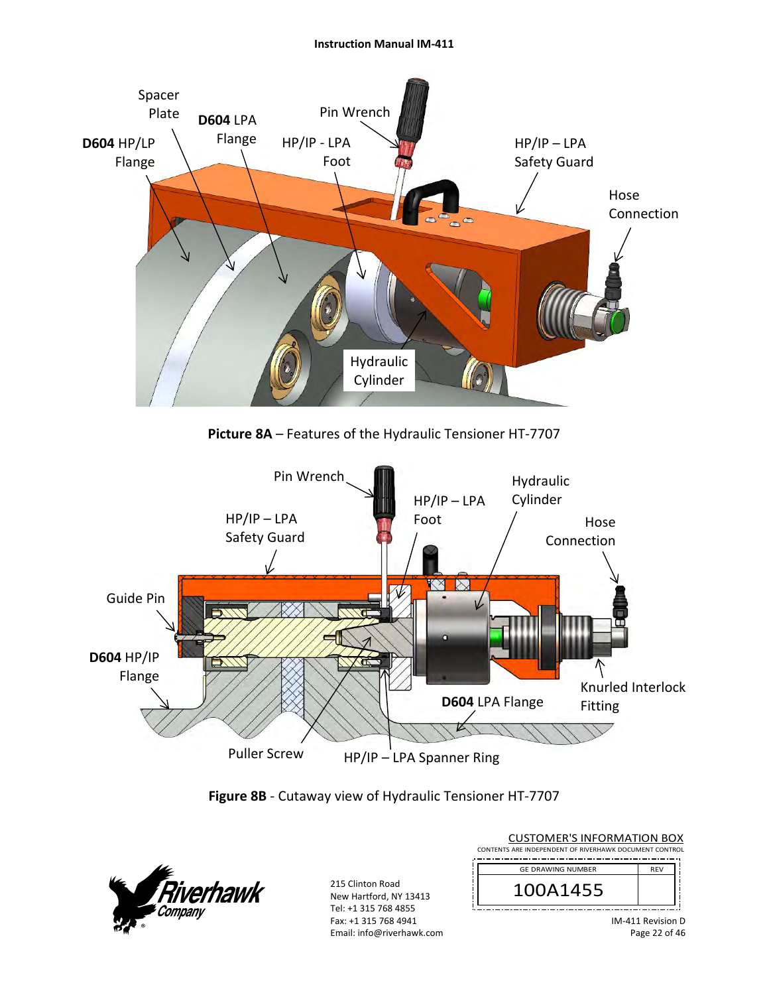





| <b>CUSTOMER'S INFORMATION BOX</b>                      |                             |  |
|--------------------------------------------------------|-----------------------------|--|
| CONTENTS ARE INDEPENDENT OF RIVERHAWK DOCUMENT CONTROL |                             |  |
| <b>GE DRAWING NUMBER</b>                               | <b>REV</b>                  |  |
|                                                        |                             |  |
| 100A1455                                               |                             |  |
|                                                        |                             |  |
|                                                        | $10.0.0140$ Decorations $P$ |  |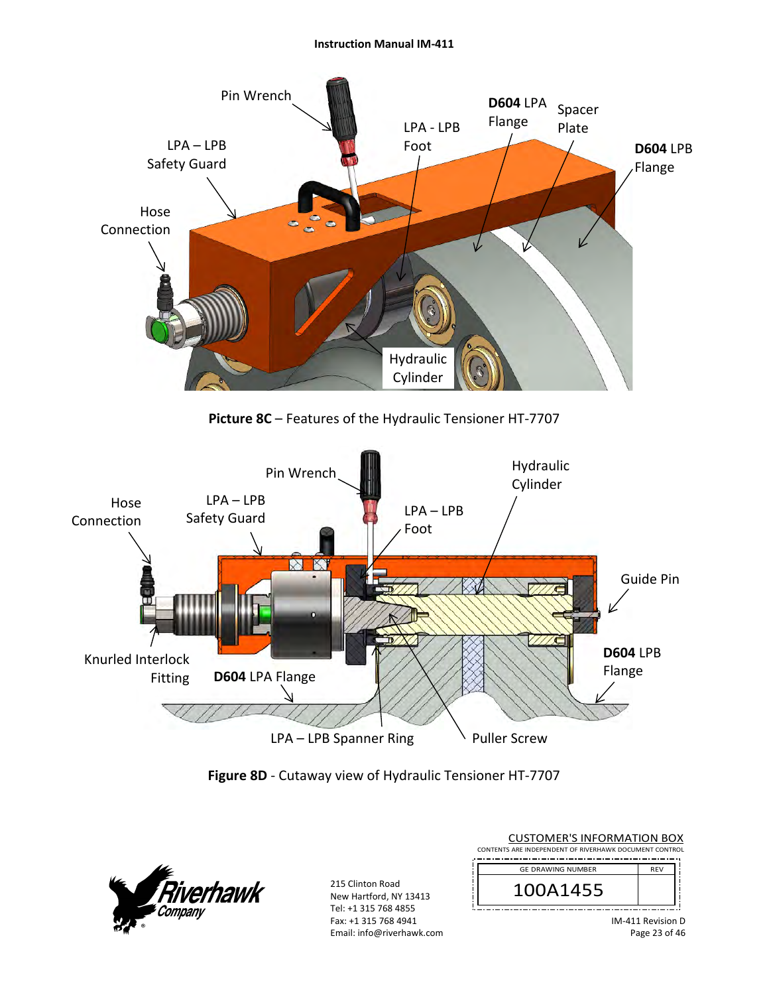### **Instruction Manual IM‐411**



**Picture 8C** – Features of the Hydraulic Tensioner HT‐7707



**Figure 8D** ‐ Cutaway view of Hydraulic Tensioner HT‐7707



| <b>CUSTOMER'S INFORMATION BOX</b><br>CONTENTS ARE INDEPENDENT OF RIVERHAWK DOCUMENT CONTROL |                               |
|---------------------------------------------------------------------------------------------|-------------------------------|
| <b>GE DRAWING NUMBER</b>                                                                    | <b>RFV</b>                    |
| 100A1455                                                                                    |                               |
|                                                                                             | $10.4$ $111$ Doubles $\Gamma$ |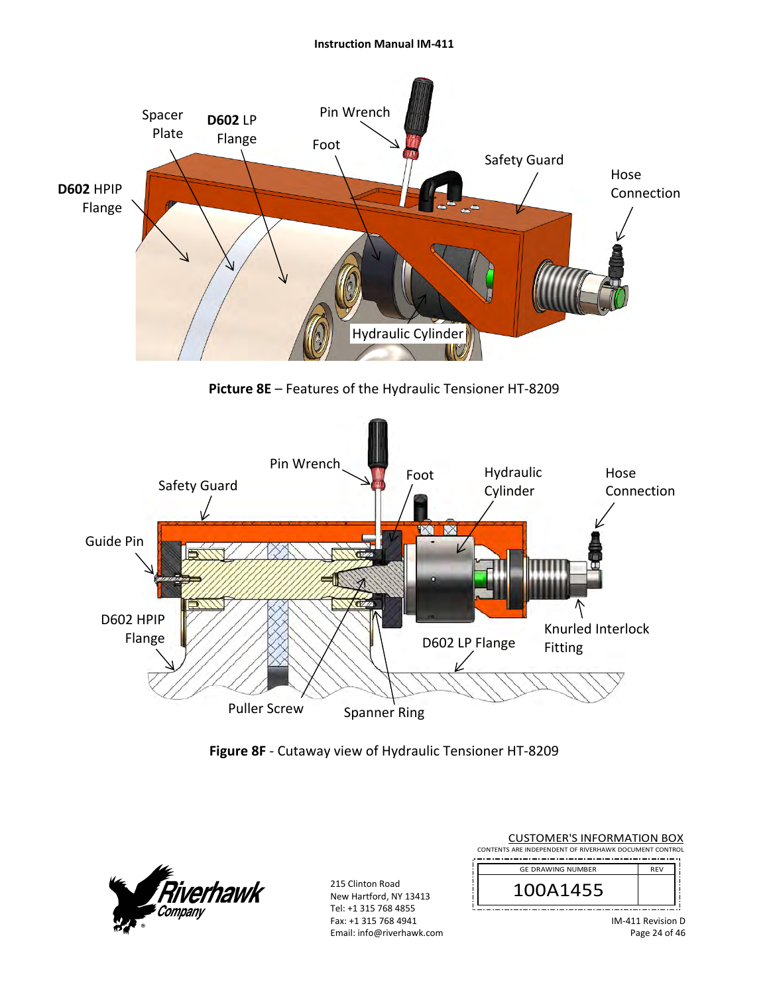#### **Instruction Manual IM‐411**



**Picture 8E** – Features of the Hydraulic Tensioner HT‐8209



**Figure 8F** ‐ Cutaway view of Hydraulic Tensioner HT‐8209



215 Clinton Road New Hartford, NY 13413 Tel: +1 315 768 4855 Fax: +1 315 768 4941 Email: info@riverhawk.com

| <b>CUSTOMER'S INFORMATION BOX</b>                      |            |  |  |
|--------------------------------------------------------|------------|--|--|
| CONTENTS ARE INDEPENDENT OF RIVERHAWK DOCUMENT CONTROL |            |  |  |
| <b>GE DRAWING NUMBER</b>                               | <b>RFV</b> |  |  |
| 100A1455                                               |            |  |  |
|                                                        |            |  |  |

IM‐411 Revision D Page 24 of 46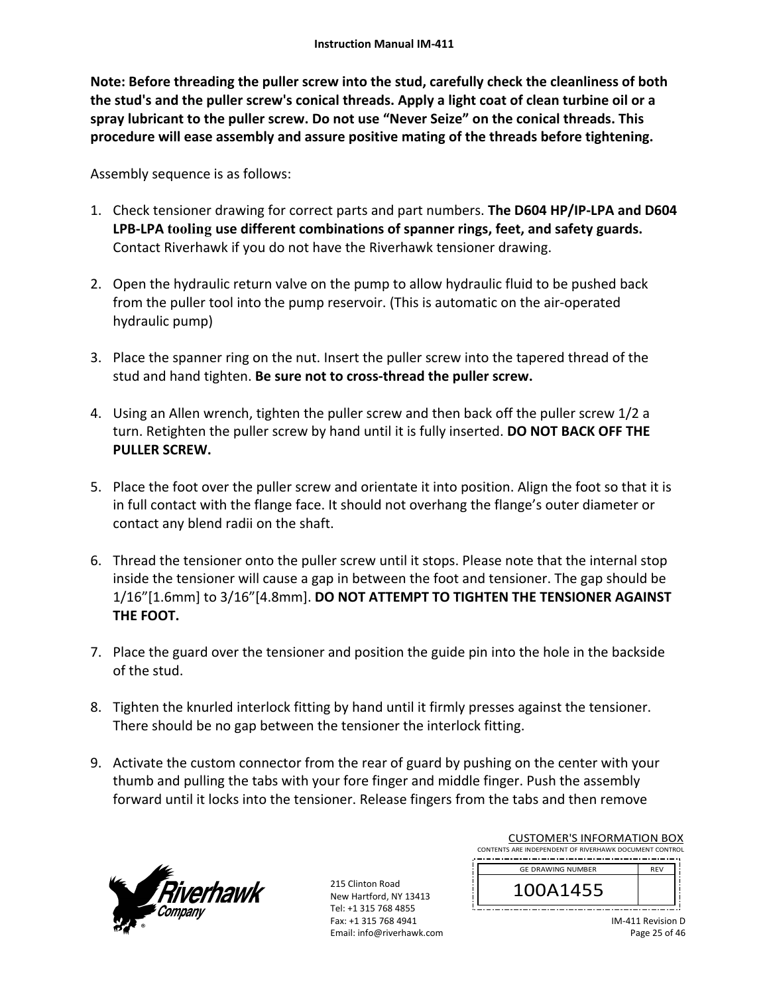**Note: Before threading the puller screw into the stud, carefully check the cleanliness of both the stud's and the puller screw's conical threads. Apply a light coat of clean turbine oil or a spray lubricant to the puller screw. Do not use "Never Seize" on the conical threads. This procedure will ease assembly and assure positive mating of the threads before tightening.** 

Assembly sequence is as follows:

- 1. Check tensioner drawing for correct parts and part numbers. **The D604 HP/IP‐LPA and D604 LPB‐LPA tooling use different combinations of spanner rings, feet, and safety guards.**  Contact Riverhawk if you do not have the Riverhawk tensioner drawing.
- 2. Open the hydraulic return valve on the pump to allow hydraulic fluid to be pushed back from the puller tool into the pump reservoir. (This is automatic on the air‐operated hydraulic pump)
- 3. Place the spanner ring on the nut. Insert the puller screw into the tapered thread of the stud and hand tighten. **Be sure not to cross‐thread the puller screw.**
- 4. Using an Allen wrench, tighten the puller screw and then back off the puller screw 1/2 a turn. Retighten the puller screw by hand until it is fully inserted. **DO NOT BACK OFF THE PULLER SCREW.**
- 5. Place the foot over the puller screw and orientate it into position. Align the foot so that it is in full contact with the flange face. It should not overhang the flange's outer diameter or contact any blend radii on the shaft.
- 6. Thread the tensioner onto the puller screw until it stops. Please note that the internal stop inside the tensioner will cause a gap in between the foot and tensioner. The gap should be 1/16"[1.6mm] to 3/16"[4.8mm]. **DO NOT ATTEMPT TO TIGHTEN THE TENSIONER AGAINST THE FOOT.**
- 7. Place the guard over the tensioner and position the guide pin into the hole in the backside of the stud.
- 8. Tighten the knurled interlock fitting by hand until it firmly presses against the tensioner. There should be no gap between the tensioner the interlock fitting.
- 9. Activate the custom connector from the rear of guard by pushing on the center with your thumb and pulling the tabs with your fore finger and middle finger. Push the assembly forward until it locks into the tensioner. Release fingers from the tabs and then remove



215 Clinton Road New Hartford, NY 13413 Tel: +1 315 768 4855 Fax: +1 315 768 4941 Email: info@riverhawk.com

| COSTOIVIEI\ 9 II\I OI\IVII \I IOI\ DOM                 |            |  |
|--------------------------------------------------------|------------|--|
| CONTENTS ARE INDEPENDENT OF RIVERHAWK DOCUMENT CONTROL |            |  |
| <b>GE DRAWING NUMBER</b>                               | <b>RFV</b> |  |
| 100A1455                                               |            |  |
|                                                        |            |  |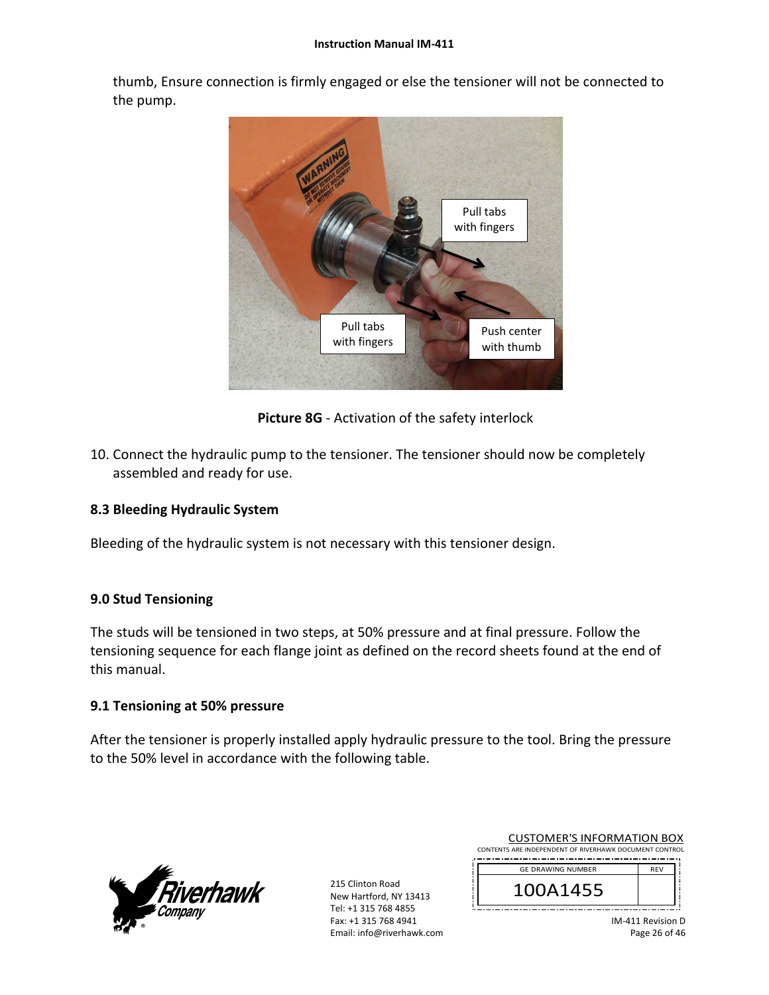#### **Instruction Manual IM‐411**

thumb, Ensure connection is firmly engaged or else the tensioner will not be connected to the pump.



**Picture 8G** ‐ Activation of the safety interlock

10. Connect the hydraulic pump to the tensioner. The tensioner should now be completely assembled and ready for use.

# **8.3 Bleeding Hydraulic System**

Bleeding of the hydraulic system is not necessary with this tensioner design.

# **9.0 Stud Tensioning**

The studs will be tensioned in two steps, at 50% pressure and at final pressure. Follow the tensioning sequence for each flange joint as defined on the record sheets found at the end of this manual.

# **9.1 Tensioning at 50% pressure**

After the tensioner is properly installed apply hydraulic pressure to the tool. Bring the pressure to the 50% level in accordance with the following table.



215 Clinton Road New Hartford, NY 13413 Tel: +1 315 768 4855 Fax: +1 315 768 4941 Email: info@riverhawk.com

| <b>GE DRAWING NUMBER</b> | <b>RFV</b>                                             |
|--------------------------|--------------------------------------------------------|
| 100A1455                 |                                                        |
|                          | CONTENTS ARE INDEPENDENT OF RIVERHAWK DOCUMENT CONTROL |

CUSTOMER'S INFORMATION BOX

IM‐411 Revision D Page 26 of 46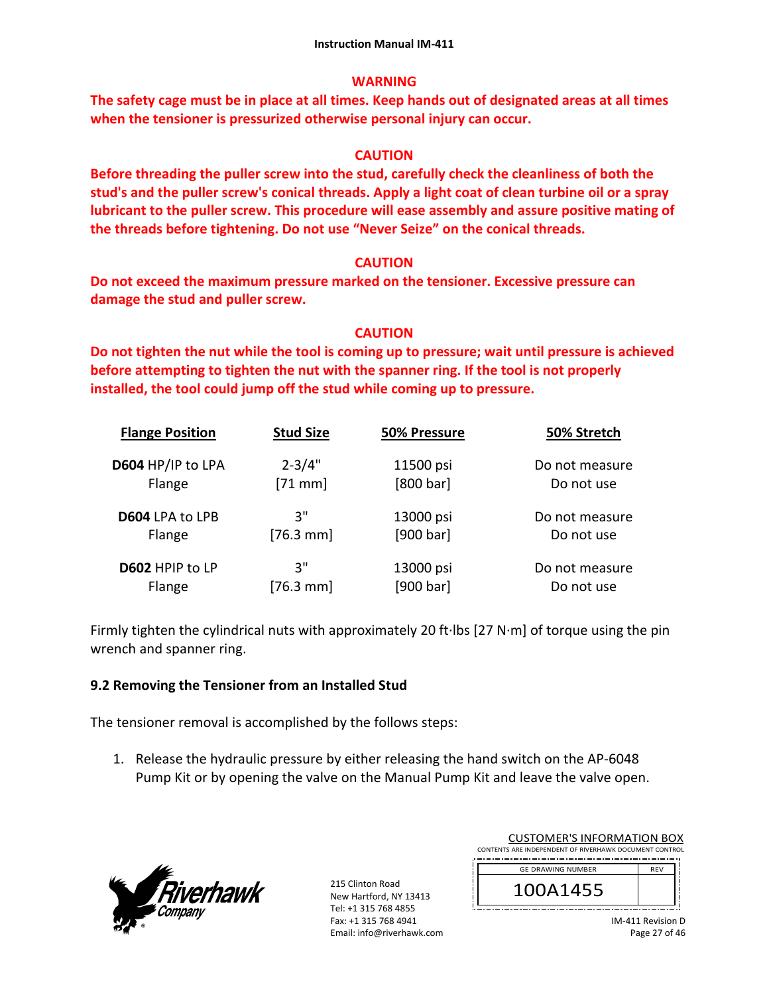# **WARNING**

**The safety cage must be in place at all times. Keep hands out of designated areas at all times when the tensioner is pressurized otherwise personal injury can occur.** 

# **CAUTION**

**Before threading the puller screw into the stud, carefully check the cleanliness of both the stud's and the puller screw's conical threads. Apply a light coat of clean turbine oil or a spray lubricant to the puller screw. This procedure will ease assembly and assure positive mating of the threads before tightening. Do not use "Never Seize" on the conical threads.** 

# **CAUTION**

**Do not exceed the maximum pressure marked on the tensioner. Excessive pressure can damage the stud and puller screw.** 

# **CAUTION**

**Do not tighten the nut while the tool is coming up to pressure; wait until pressure is achieved before attempting to tighten the nut with the spanner ring. If the tool is not properly installed, the tool could jump off the stud while coming up to pressure.** 

| <b>Flange Position</b> | <b>Stud Size</b> | 50% Pressure | 50% Stretch    |
|------------------------|------------------|--------------|----------------|
| D604 HP/IP to LPA      | $2 - 3/4"$       | 11500 psi    | Do not measure |
| Flange                 | $[71$ mm]        | [800 bar]    | Do not use     |
| D604 LPA to LPB        | 3"               | 13000 psi    | Do not measure |
| Flange                 | $[76.3$ mm]      | [900 bar]    | Do not use     |
| D602 HPIP to LP        | 3"               | 13000 psi    | Do not measure |
| Flange                 | $[76.3$ mm       | [900 bar]    | Do not use     |

Firmly tighten the cylindrical nuts with approximately 20 ft∙lbs [27 N∙m] of torque using the pin wrench and spanner ring.

## **9.2 Removing the Tensioner from an Installed Stud**

The tensioner removal is accomplished by the follows steps:

1. Release the hydraulic pressure by either releasing the hand switch on the AP‐6048 Pump Kit or by opening the valve on the Manual Pump Kit and leave the valve open.



| <b>CUSTOMER'S INFORMATION BOX</b><br>CONTENTS ARE INDEPENDENT OF RIVERHAWK DOCUMENT CONTROL |            |
|---------------------------------------------------------------------------------------------|------------|
| <b>GE DRAWING NUMBER</b>                                                                    | <b>RFV</b> |
| 100A1455                                                                                    |            |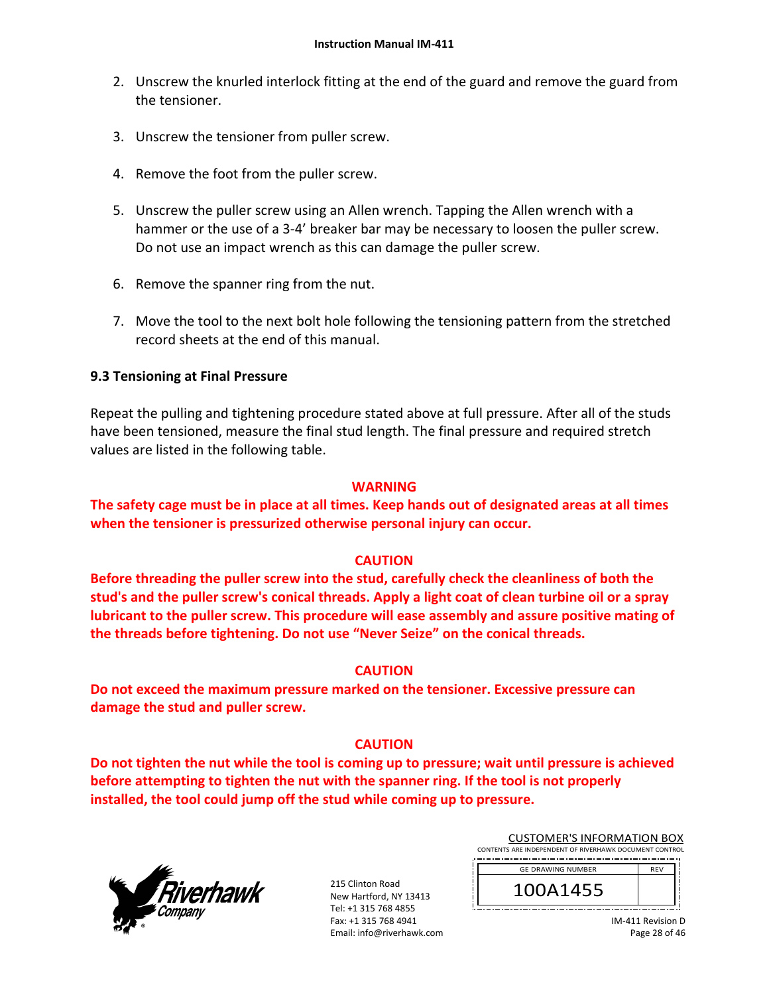- 2. Unscrew the knurled interlock fitting at the end of the guard and remove the guard from the tensioner.
- 3. Unscrew the tensioner from puller screw.
- 4. Remove the foot from the puller screw.
- 5. Unscrew the puller screw using an Allen wrench. Tapping the Allen wrench with a hammer or the use of a 3-4' breaker bar may be necessary to loosen the puller screw. Do not use an impact wrench as this can damage the puller screw.
- 6. Remove the spanner ring from the nut.
- 7. Move the tool to the next bolt hole following the tensioning pattern from the stretched record sheets at the end of this manual.

## **9.3 Tensioning at Final Pressure**

Repeat the pulling and tightening procedure stated above at full pressure. After all of the studs have been tensioned, measure the final stud length. The final pressure and required stretch values are listed in the following table.

## **WARNING**

**The safety cage must be in place at all times. Keep hands out of designated areas at all times when the tensioner is pressurized otherwise personal injury can occur.** 

## **CAUTION**

**Before threading the puller screw into the stud, carefully check the cleanliness of both the stud's and the puller screw's conical threads. Apply a light coat of clean turbine oil or a spray lubricant to the puller screw. This procedure will ease assembly and assure positive mating of the threads before tightening. Do not use "Never Seize" on the conical threads.** 

## **CAUTION**

**Do not exceed the maximum pressure marked on the tensioner. Excessive pressure can damage the stud and puller screw.** 

## **CAUTION**

**Do not tighten the nut while the tool is coming up to pressure; wait until pressure is achieved before attempting to tighten the nut with the spanner ring. If the tool is not properly installed, the tool could jump off the stud while coming up to pressure.**



215 Clinton Road New Hartford, NY 13413 Tel: +1 315 768 4855 Fax: +1 315 768 4941 Email: info@riverhawk.com

| ________________________________                       |            |  |
|--------------------------------------------------------|------------|--|
| CONTENTS ARE INDEPENDENT OF RIVERHAWK DOCUMENT CONTROL |            |  |
| <b>GE DRAWING NUMBER</b>                               | <b>RFV</b> |  |
| 100A1455                                               |            |  |
|                                                        |            |  |

CUSTOMER'S INFORMATION BOX

IM‐411 Revision D Page 28 of 46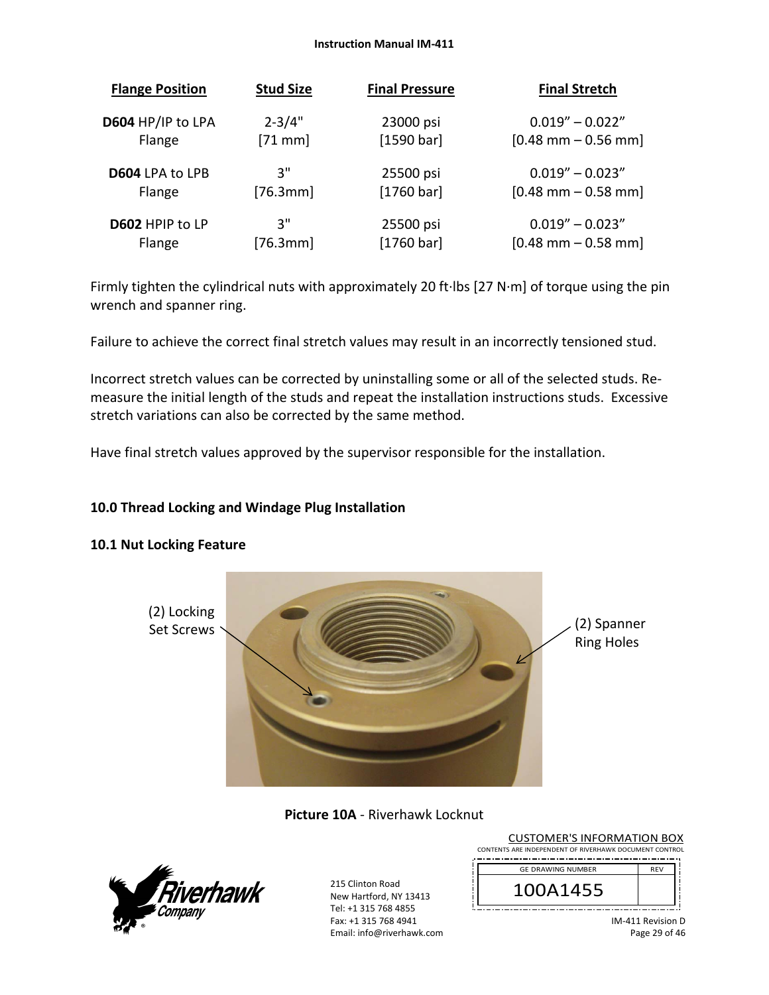#### **Instruction Manual IM‐411**

| <b>Flange Position</b> | <b>Stud Size</b> | <b>Final Pressure</b> | <b>Final Stretch</b>                  |
|------------------------|------------------|-----------------------|---------------------------------------|
| D604 HP/IP to LPA      | $2 - 3/4"$       | 23000 psi             | $0.019'' - 0.022''$                   |
| Flange                 | $[71$ mm]        | [1590 bar]            | $[0.48 \text{ mm} - 0.56 \text{ mm}]$ |
| <b>D604 LPA to LPB</b> | 3"               | 25500 psi             | $0.019'' - 0.023''$                   |
| Flange                 | [76.3mm]         | [1760 bar]            | $[0.48 \text{ mm} - 0.58 \text{ mm}]$ |
| D602 HPIP to LP        | 3"               | 25500 psi             | $0.019'' - 0.023''$                   |
| Flange                 | [76.3mm]         | [1760 bar]            | $[0.48$ mm $-0.58$ mm                 |

Firmly tighten the cylindrical nuts with approximately 20 ft∙lbs [27 N∙m] of torque using the pin wrench and spanner ring.

Failure to achieve the correct final stretch values may result in an incorrectly tensioned stud.

Incorrect stretch values can be corrected by uninstalling some or all of the selected studs. Re‐ measure the initial length of the studs and repeat the installation instructions studs. Excessive stretch variations can also be corrected by the same method.

Have final stretch values approved by the supervisor responsible for the installation.

# **10.0 Thread Locking and Windage Plug Installation**

## **10.1 Nut Locking Feature**



**Picture 10A** ‐ Riverhawk Locknut



| <b>CUSTOMER'S INFORMATION BOX</b>                      |            |
|--------------------------------------------------------|------------|
| CONTENTS ARE INDEPENDENT OF RIVERHAWK DOCUMENT CONTROL |            |
| <b>GE DRAWING NUMBER</b>                               | <b>REV</b> |
| 100A1455                                               |            |
|                                                        |            |

IM‐411 Revision D Page 29 of 46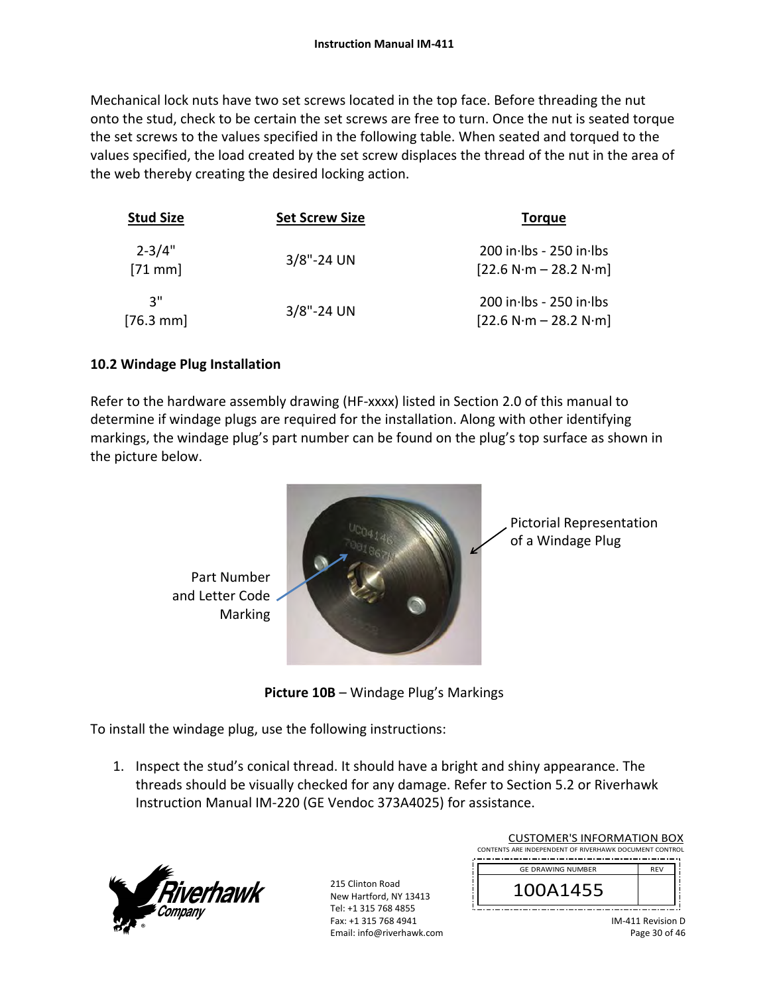Mechanical lock nuts have two set screws located in the top face. Before threading the nut onto the stud, check to be certain the set screws are free to turn. Once the nut is seated torque the set screws to the values specified in the following table. When seated and torqued to the values specified, the load created by the set screw displaces the thread of the nut in the area of the web thereby creating the desired locking action.

| <b>Stud Size</b>       | <b>Set Screw Size</b> | <b>Torque</b>                                        |
|------------------------|-----------------------|------------------------------------------------------|
| $2 - 3/4"$<br>$[71$ mm | $3/8$ "-24 UN         | 200 in lbs - 250 in lbs<br>$[22.6 N·m - 28.2 N·m]$   |
| יי ג<br>$[76.3$ mm     | $3/8$ "-24 UN         | $200$ in Ibs - 250 in Ibs<br>$[22.6 N·m - 28.2 N·m]$ |

# **10.2 Windage Plug Installation**

Refer to the hardware assembly drawing (HF-xxxx) listed in Section 2.0 of this manual to determine if windage plugs are required for the installation. Along with other identifying markings, the windage plug's part number can be found on the plug's top surface as shown in the picture below.



**Picture 10B** – Windage Plug's Markings

To install the windage plug, use the following instructions:

1. Inspect the stud's conical thread. It should have a bright and shiny appearance. The threads should be visually checked for any damage. Refer to Section 5.2 or Riverhawk Instruction Manual IM‐220 (GE Vendoc 373A4025) for assistance.



| <b>CUSTOMER'S INFORMATION BOX</b>                      |            |
|--------------------------------------------------------|------------|
| CONTENTS ARE INDEPENDENT OF RIVERHAWK DOCUMENT CONTROL |            |
| <b>GE DRAWING NUMBER</b>                               | <b>RFV</b> |
| 100A1455                                               |            |
|                                                        |            |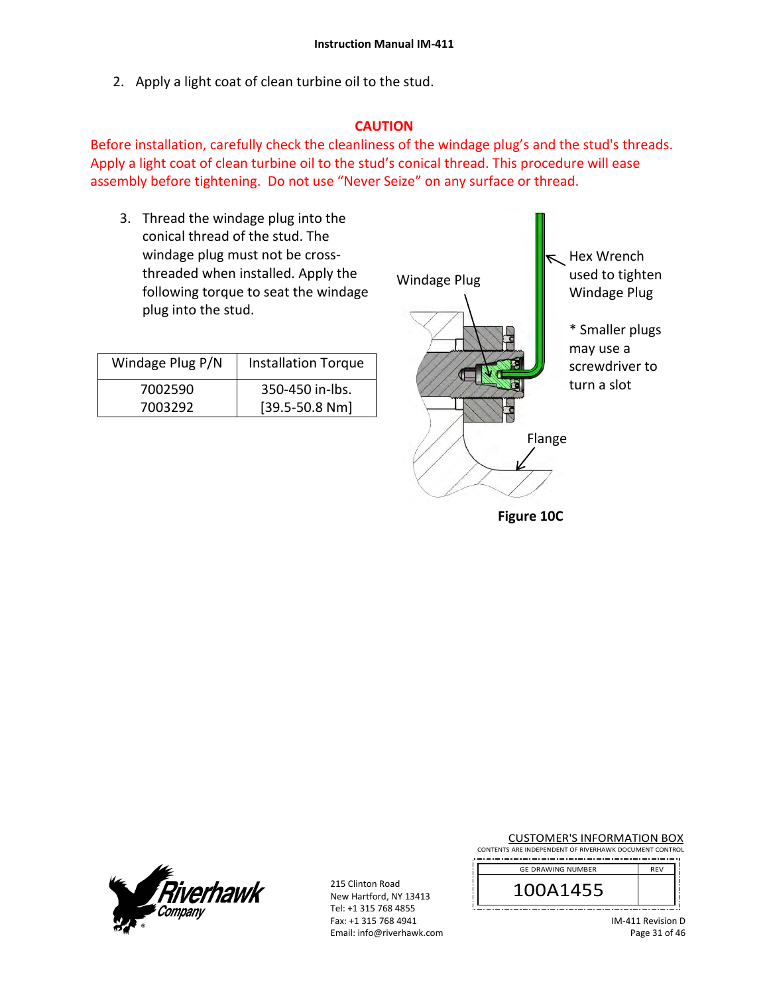2. Apply a light coat of clean turbine oil to the stud.

# **CAUTION**

Before installation, carefully check the cleanliness of the windage plug's and the stud's threads. Apply a light coat of clean turbine oil to the stud's conical thread. This procedure will ease assembly before tightening. Do not use "Never Seize" on any surface or thread.

3. Thread the windage plug into the conical thread of the stud. The windage plug must not be cross‐ threaded when installed. Apply the following torque to seat the windage plug into the stud.

| Windage Plug P/N | <b>Installation Torque</b> |
|------------------|----------------------------|
| 7002590          | 350-450 in-lbs.            |
| 7003292          | $[39.5 - 50.8 Nm]$         |



t Hex Wrench used to tighten Windage Plug

> \* Smaller plugs may use a screwdriver to turn a slot

**Figure 10C** 



215 Clinton Road New Hartford, NY 13413 Tel: +1 315 768 4855 Fax: +1 315 768 4941 Email: info@riverhawk.com CUSTOMER'S INFORMATION BOX

CONTENTS ARE INDEPENDENT OF RIVERHAWK DOCUMENT CONTROL 

| <b>GE DRAWING NUMBER</b> | <b>RFV</b> |
|--------------------------|------------|
| 100A1455                 |            |
|                          |            |

IM‐411 Revision D Page 31 of 46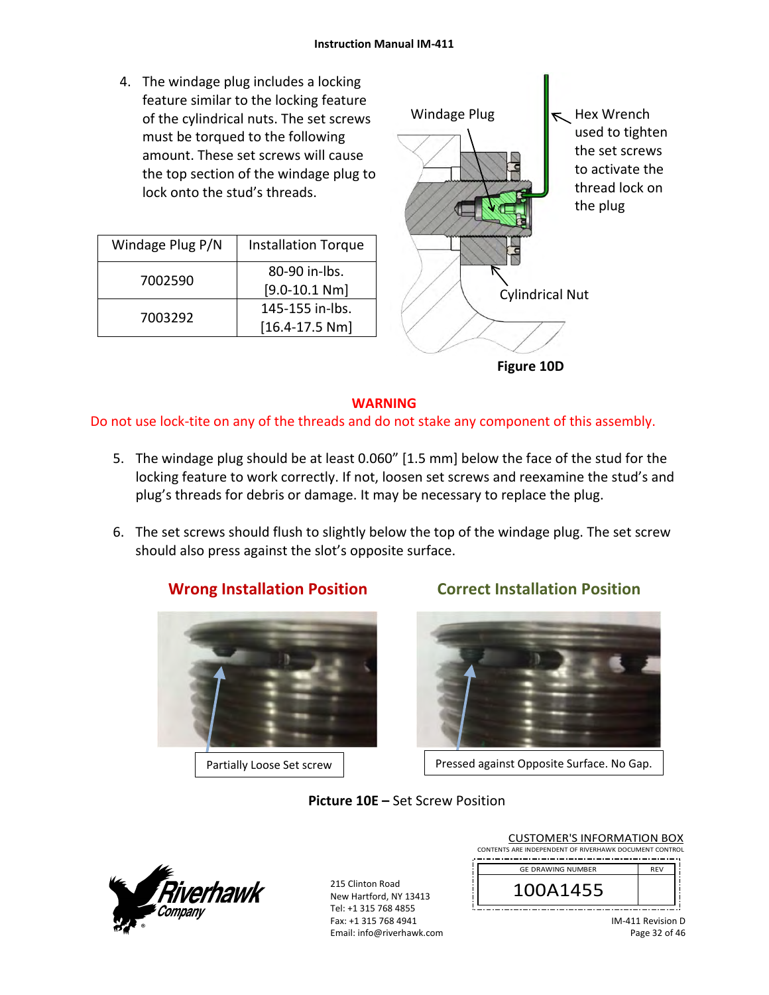4. The windage plug includes a locking feature similar to the locking feature of the cylindrical nuts. The set screws must be torqued to the following amount. These set screws will cause the top section of the windage plug to lock onto the stud's threads.

| Windage Plug P/N | <b>Installation Torque</b> |
|------------------|----------------------------|
|                  | 80-90 in-lbs.              |
| 7002590          | $[9.0 - 10.1 Nm]$          |
| 7003292          | 145-155 in-lbs.            |
|                  | $[16.4 - 17.5 Nm]$         |



# **WARNING**

Do not use lock-tite on any of the threads and do not stake any component of this assembly.

- 5. The windage plug should be at least 0.060" [1.5 mm] below the face of the stud for the locking feature to work correctly. If not, loosen set screws and reexamine the stud's and plug's threads for debris or damage. It may be necessary to replace the plug.
- 6. The set screws should flush to slightly below the top of the windage plug. The set screw should also press against the slot's opposite surface.



**Wrong Installation Position Correct Installation Position** 



Partially Loose Set screw | Ressed against Opposite Surface. No Gap.

# **Picture 10E –** Set Screw Position



215 Clinton Road New Hartford, NY 13413 Tel: +1 315 768 4855 Fax: +1 315 768 4941 Email: info@riverhawk.com

| CONTENTS ARE INDEPENDENT OF RIVERHAWK DOCUMENT CONTROL |            |
|--------------------------------------------------------|------------|
| <b>GE DRAWING NUMBER</b>                               | <b>RFV</b> |
| 100A1455                                               |            |
|                                                        |            |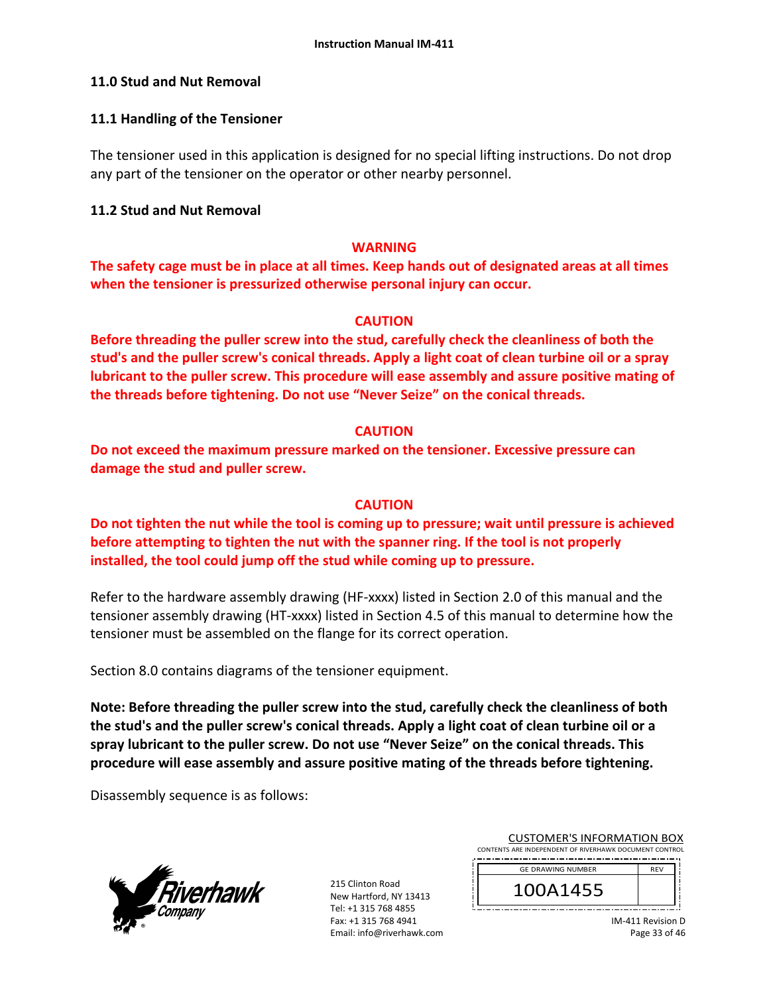## **11.0 Stud and Nut Removal**

## **11.1 Handling of the Tensioner**

The tensioner used in this application is designed for no special lifting instructions. Do not drop any part of the tensioner on the operator or other nearby personnel.

## **11.2 Stud and Nut Removal**

## **WARNING**

**The safety cage must be in place at all times. Keep hands out of designated areas at all times when the tensioner is pressurized otherwise personal injury can occur.** 

## **CAUTION**

**Before threading the puller screw into the stud, carefully check the cleanliness of both the stud's and the puller screw's conical threads. Apply a light coat of clean turbine oil or a spray lubricant to the puller screw. This procedure will ease assembly and assure positive mating of the threads before tightening. Do not use "Never Seize" on the conical threads.** 

## **CAUTION**

**Do not exceed the maximum pressure marked on the tensioner. Excessive pressure can damage the stud and puller screw.** 

## **CAUTION**

**Do not tighten the nut while the tool is coming up to pressure; wait until pressure is achieved before attempting to tighten the nut with the spanner ring. If the tool is not properly installed, the tool could jump off the stud while coming up to pressure.** 

Refer to the hardware assembly drawing (HF-xxxx) listed in Section 2.0 of this manual and the tensioner assembly drawing (HT‐xxxx) listed in Section 4.5 of this manual to determine how the tensioner must be assembled on the flange for its correct operation.

Section 8.0 contains diagrams of the tensioner equipment.

**Note: Before threading the puller screw into the stud, carefully check the cleanliness of both the stud's and the puller screw's conical threads. Apply a light coat of clean turbine oil or a spray lubricant to the puller screw. Do not use "Never Seize" on the conical threads. This procedure will ease assembly and assure positive mating of the threads before tightening.** 

Disassembly sequence is as follows:



215 Clinton Road New Hartford, NY 13413 Tel: +1 315 768 4855 Fax: +1 315 768 4941 Email: info@riverhawk.com

| CONTENTS ARE INDEPENDENT OF RIVERHAWK DOCUMENT CONTROL |            |
|--------------------------------------------------------|------------|
|                                                        |            |
| <b>GE DRAWING NUMBER</b>                               | <b>REV</b> |
|                                                        |            |
| 100A1455                                               |            |
|                                                        |            |
|                                                        |            |
|                                                        |            |

CUSTOMER'S INFORMATION BOX

IM‐411 Revision D Page 33 of 46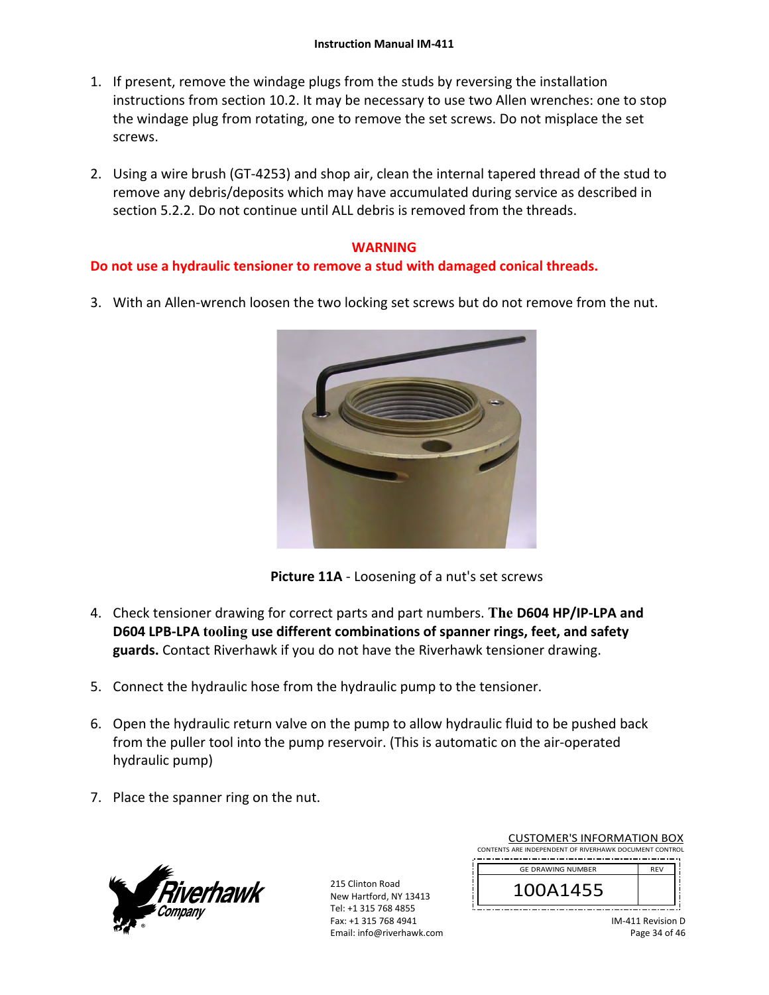- 1. If present, remove the windage plugs from the studs by reversing the installation instructions from section 10.2. It may be necessary to use two Allen wrenches: one to stop the windage plug from rotating, one to remove the set screws. Do not misplace the set screws.
- 2. Using a wire brush (GT‐4253) and shop air, clean the internal tapered thread of the stud to remove any debris/deposits which may have accumulated during service as described in section 5.2.2. Do not continue until ALL debris is removed from the threads.

# **WARNING**

# **Do not use a hydraulic tensioner to remove a stud with damaged conical threads.**

3. With an Allen‐wrench loosen the two locking set screws but do not remove from the nut.



**Picture 11A** ‐ Loosening of a nut's set screws

- 4. Check tensioner drawing for correct parts and part numbers. **The D604 HP/IP‐LPA and D604 LPB‐LPA tooling use different combinations of spanner rings, feet, and safety guards.** Contact Riverhawk if you do not have the Riverhawk tensioner drawing.
- 5. Connect the hydraulic hose from the hydraulic pump to the tensioner.
- 6. Open the hydraulic return valve on the pump to allow hydraulic fluid to be pushed back from the puller tool into the pump reservoir. (This is automatic on the air‐operated hydraulic pump)
- 7. Place the spanner ring on the nut.



215 Clinton Road New Hartford, NY 13413 Tel: +1 315 768 4855 Fax: +1 315 768 4941 Email: info@riverhawk.com

| CONTENTS ARE INDEPENDENT OF RIVERHAWK DOCUMENT CONTROL |            |
|--------------------------------------------------------|------------|
| <b>GE DRAWING NUMBER</b>                               | <b>RFV</b> |
| 100A1455                                               |            |
|                                                        |            |

CUSTOMER'S INFORMATION BOX

IM‐411 Revision D Page 34 of 46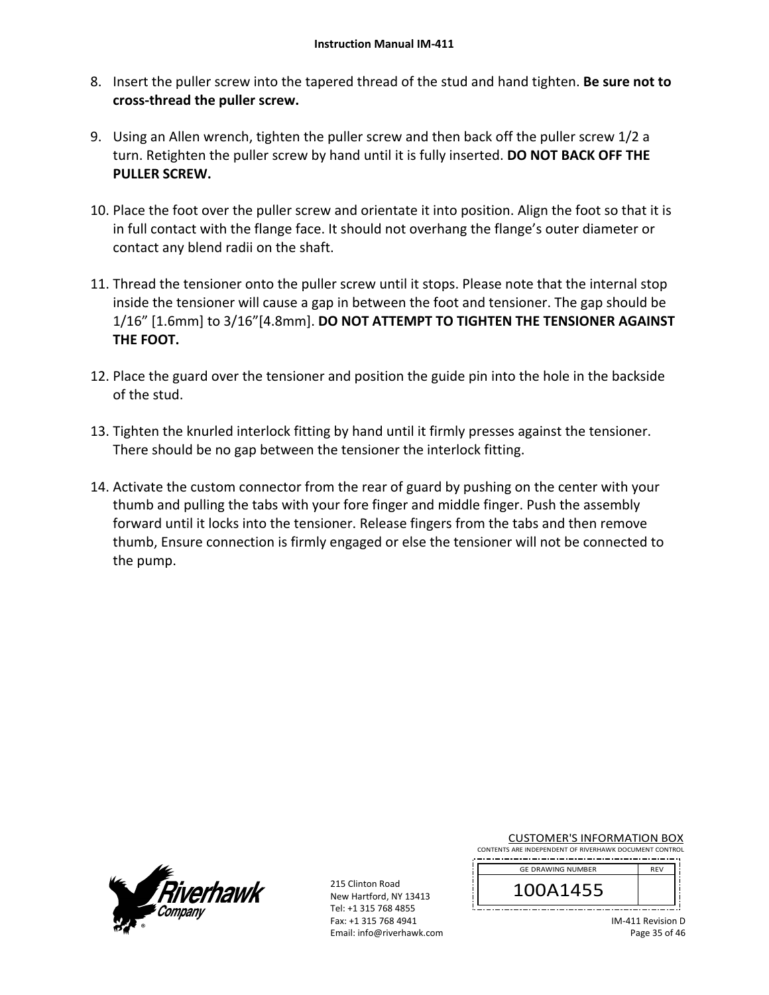- 8. Insert the puller screw into the tapered thread of the stud and hand tighten. **Be sure not to cross‐thread the puller screw.**
- 9. Using an Allen wrench, tighten the puller screw and then back off the puller screw 1/2 a turn. Retighten the puller screw by hand until it is fully inserted. **DO NOT BACK OFF THE PULLER SCREW.**
- 10. Place the foot over the puller screw and orientate it into position. Align the foot so that it is in full contact with the flange face. It should not overhang the flange's outer diameter or contact any blend radii on the shaft.
- 11. Thread the tensioner onto the puller screw until it stops. Please note that the internal stop inside the tensioner will cause a gap in between the foot and tensioner. The gap should be 1/16" [1.6mm] to 3/16"[4.8mm]. **DO NOT ATTEMPT TO TIGHTEN THE TENSIONER AGAINST THE FOOT.**
- 12. Place the guard over the tensioner and position the guide pin into the hole in the backside of the stud.
- 13. Tighten the knurled interlock fitting by hand until it firmly presses against the tensioner. There should be no gap between the tensioner the interlock fitting.
- 14. Activate the custom connector from the rear of guard by pushing on the center with your thumb and pulling the tabs with your fore finger and middle finger. Push the assembly forward until it locks into the tensioner. Release fingers from the tabs and then remove thumb, Ensure connection is firmly engaged or else the tensioner will not be connected to the pump.



215 Clinton Road New Hartford, NY 13413 Tel: +1 315 768 4855 Fax: +1 315 768 4941 Email: info@riverhawk.com

|  | <b>CUSTOMER'S INFORMATION BOX</b>                        |  |  |  |  |  |  |
|--|----------------------------------------------------------|--|--|--|--|--|--|
|  | $170.185$ in BEREVISEUT OF BUSERILIUS BOOD LIFLY CONTROL |  |  |  |  |  |  |

CONTENTS ARE INDEPENDENT OF RIVERHAWK DOCUMENT CONTROL 

| <b>GE DRAWING NUMBER</b> | <b>REV</b> |  |
|--------------------------|------------|--|
| 1455،                    |            |  |
|                          |            |  |

IM‐411 Revision D Page 35 of 46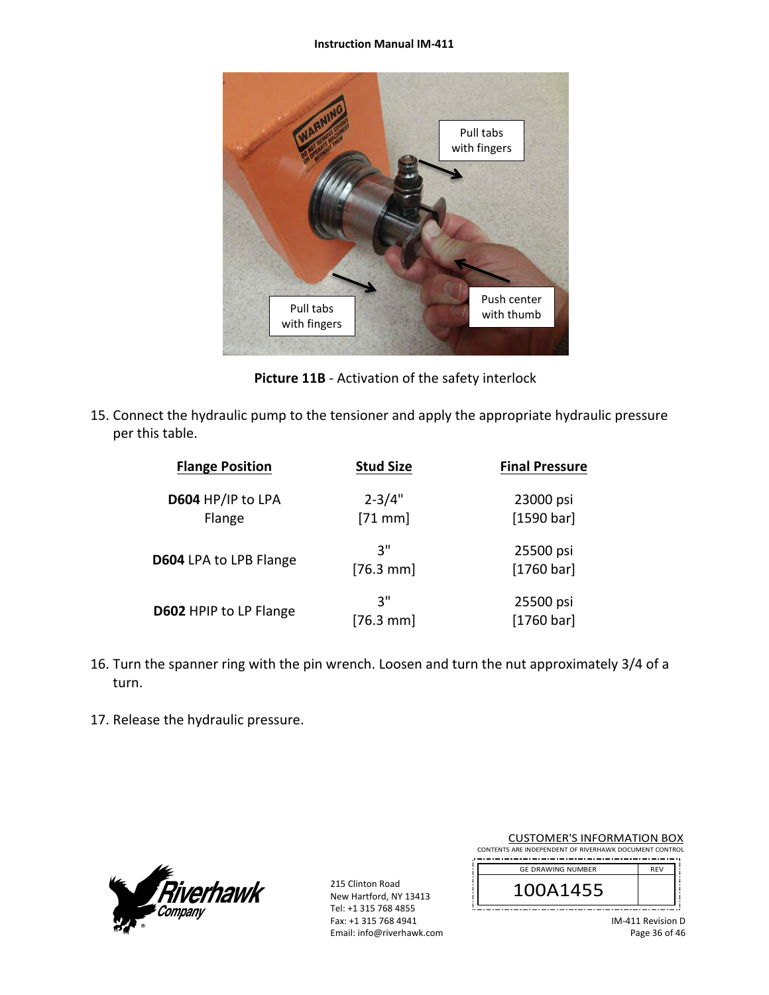#### **Instruction Manual IM‐411**



**Picture 11B** ‐ Activation of the safety interlock

15. Connect the hydraulic pump to the tensioner and apply the appropriate hydraulic pressure per this table.

| <b>Flange Position</b>      | <b>Stud Size</b>        | <b>Final Pressure</b>   |
|-----------------------------|-------------------------|-------------------------|
| D604 HP/IP to LPA<br>Flange | $2 - 3/4"$<br>$[71$ mm] | 23000 psi<br>[1590 bar] |
| D604 LPA to LPB Flange      | יי 3<br>$[76.3$ mm      | 25500 psi<br>[1760 bar] |
| D602 HPIP to LP Flange      | יי 3<br>$[76.3$ mm]     | 25500 psi<br>[1760 bar] |

- 16. Turn the spanner ring with the pin wrench. Loosen and turn the nut approximately 3/4 of a turn.
- 17. Release the hydraulic pressure.



215 Clinton Road New Hartford, NY 13413 Tel: +1 315 768 4855 Fax: +1 315 768 4941 Email: info@riverhawk.com

| <b>CUSTOMER'S INFORMATION BOX</b>                      |            |  |  |  |  |
|--------------------------------------------------------|------------|--|--|--|--|
| CONTENTS ARE INDEPENDENT OF RIVERHAWK DOCUMENT CONTROL |            |  |  |  |  |
| <b>GE DRAWING NUMBER</b>                               | <b>REV</b> |  |  |  |  |
| 100A1455                                               |            |  |  |  |  |
|                                                        |            |  |  |  |  |

IM‐411 Revision D Page 36 of 46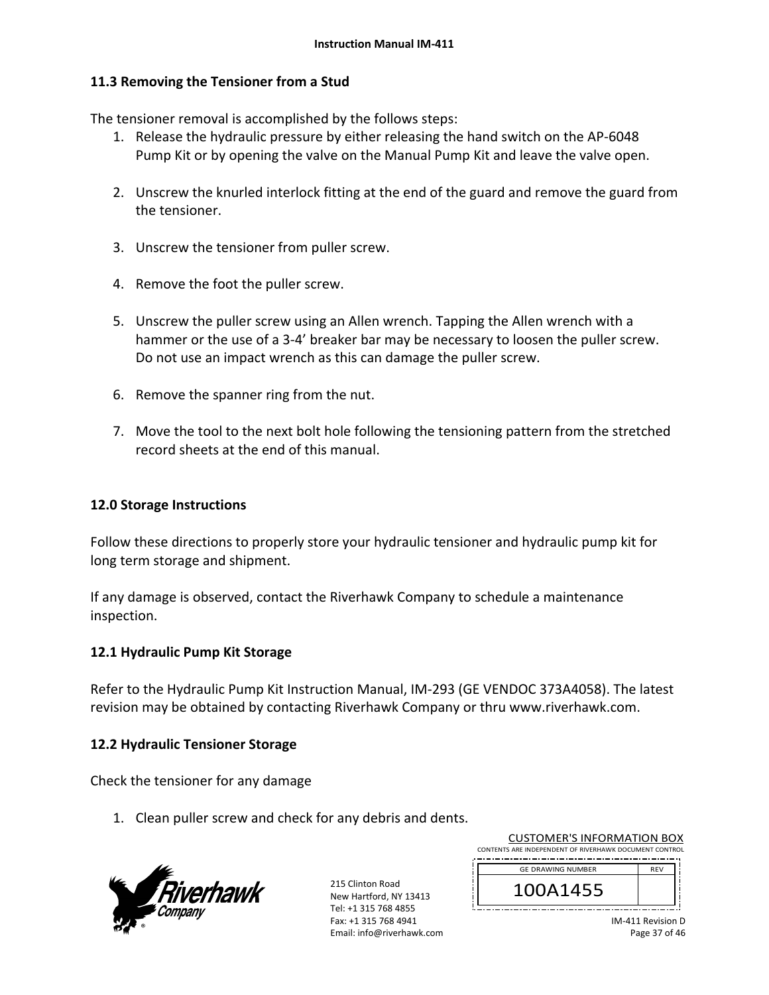## **11.3 Removing the Tensioner from a Stud**

The tensioner removal is accomplished by the follows steps:

- 1. Release the hydraulic pressure by either releasing the hand switch on the AP‐6048 Pump Kit or by opening the valve on the Manual Pump Kit and leave the valve open.
- 2. Unscrew the knurled interlock fitting at the end of the guard and remove the guard from the tensioner.
- 3. Unscrew the tensioner from puller screw.
- 4. Remove the foot the puller screw.
- 5. Unscrew the puller screw using an Allen wrench. Tapping the Allen wrench with a hammer or the use of a 3-4' breaker bar may be necessary to loosen the puller screw. Do not use an impact wrench as this can damage the puller screw.
- 6. Remove the spanner ring from the nut.
- 7. Move the tool to the next bolt hole following the tensioning pattern from the stretched record sheets at the end of this manual.

## **12.0 Storage Instructions**

Follow these directions to properly store your hydraulic tensioner and hydraulic pump kit for long term storage and shipment.

If any damage is observed, contact the Riverhawk Company to schedule a maintenance inspection.

## **12.1 Hydraulic Pump Kit Storage**

Refer to the Hydraulic Pump Kit Instruction Manual, IM‐293 (GE VENDOC 373A4058). The latest revision may be obtained by contacting Riverhawk Company or thru www.riverhawk.com.

## **12.2 Hydraulic Tensioner Storage**

Check the tensioner for any damage

1. Clean puller screw and check for any debris and dents.



| <b>CUSTOMER'S INFORMATION BOX</b>                      |            |  |  |  |
|--------------------------------------------------------|------------|--|--|--|
| CONTENTS ARE INDEPENDENT OF RIVERHAWK DOCUMENT CONTROL |            |  |  |  |
| <b>GE DRAWING NUMBER</b>                               | <b>REV</b> |  |  |  |
|                                                        |            |  |  |  |
| 100A1455                                               |            |  |  |  |
|                                                        |            |  |  |  |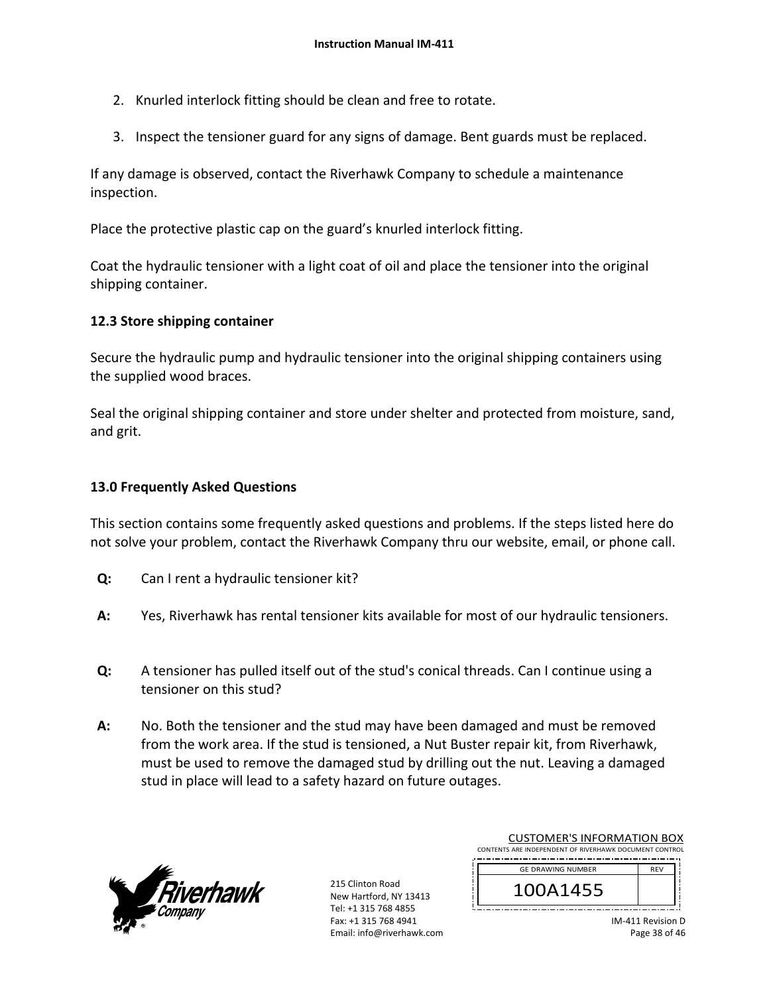- 2. Knurled interlock fitting should be clean and free to rotate.
- 3. Inspect the tensioner guard for any signs of damage. Bent guards must be replaced.

If any damage is observed, contact the Riverhawk Company to schedule a maintenance inspection.

Place the protective plastic cap on the guard's knurled interlock fitting.

Coat the hydraulic tensioner with a light coat of oil and place the tensioner into the original shipping container.

# **12.3 Store shipping container**

Secure the hydraulic pump and hydraulic tensioner into the original shipping containers using the supplied wood braces.

Seal the original shipping container and store under shelter and protected from moisture, sand, and grit.

# **13.0 Frequently Asked Questions**

This section contains some frequently asked questions and problems. If the steps listed here do not solve your problem, contact the Riverhawk Company thru our website, email, or phone call.

- **Q:**  Can I rent a hydraulic tensioner kit?
- **A:**  Yes, Riverhawk has rental tensioner kits available for most of our hydraulic tensioners.
- **Q:**  A tensioner has pulled itself out of the stud's conical threads. Can I continue using a tensioner on this stud?
- **A:**  No. Both the tensioner and the stud may have been damaged and must be removed from the work area. If the stud is tensioned, a Nut Buster repair kit, from Riverhawk, must be used to remove the damaged stud by drilling out the nut. Leaving a damaged stud in place will lead to a safety hazard on future outages.



215 Clinton Road New Hartford, NY 13413 Tel: +1 315 768 4855 Fax: +1 315 768 4941 Email: info@riverhawk.com

| CONTENTS ARE INDEPENDENT OF RIVERHAWK DOCUMENT CONTROL |            |
|--------------------------------------------------------|------------|
| <b>GE DRAWING NUMBER</b>                               | <b>RFV</b> |
| 100A1455                                               |            |
|                                                        |            |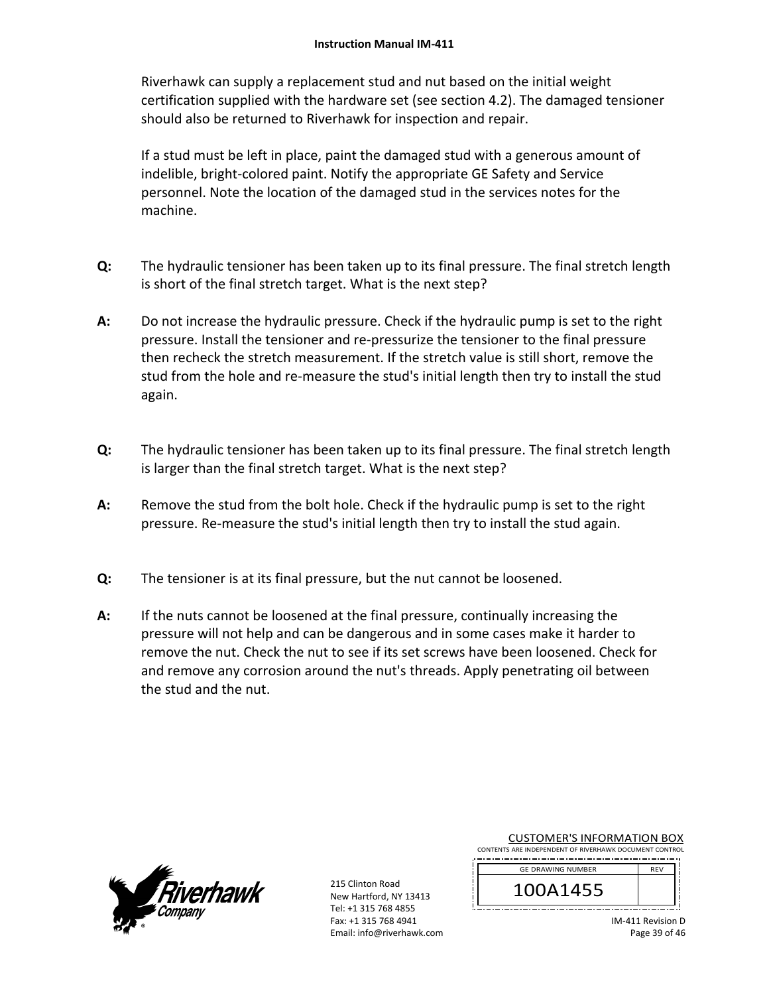Riverhawk can supply a replacement stud and nut based on the initial weight certification supplied with the hardware set (see section 4.2). The damaged tensioner should also be returned to Riverhawk for inspection and repair.

If a stud must be left in place, paint the damaged stud with a generous amount of indelible, bright‐colored paint. Notify the appropriate GE Safety and Service personnel. Note the location of the damaged stud in the services notes for the machine.

- **Q:**  The hydraulic tensioner has been taken up to its final pressure. The final stretch length is short of the final stretch target. What is the next step?
- **A:**  Do not increase the hydraulic pressure. Check if the hydraulic pump is set to the right pressure. Install the tensioner and re‐pressurize the tensioner to the final pressure then recheck the stretch measurement. If the stretch value is still short, remove the stud from the hole and re-measure the stud's initial length then try to install the stud again.
- **Q:**  The hydraulic tensioner has been taken up to its final pressure. The final stretch length is larger than the final stretch target. What is the next step?
- **A:**  Remove the stud from the bolt hole. Check if the hydraulic pump is set to the right pressure. Re‐measure the stud's initial length then try to install the stud again.
- **Q:**  The tensioner is at its final pressure, but the nut cannot be loosened.
- **A:**  If the nuts cannot be loosened at the final pressure, continually increasing the pressure will not help and can be dangerous and in some cases make it harder to remove the nut. Check the nut to see if its set screws have been loosened. Check for and remove any corrosion around the nut's threads. Apply penetrating oil between the stud and the nut.



215 Clinton Road New Hartford, NY 13413 Tel: +1 315 768 4855 Fax: +1 315 768 4941 Email: info@riverhawk.com

| CONTENTS ARE INDEPENDENT OF RIVERHAWK DOCUMENT CONTROL |            |  |
|--------------------------------------------------------|------------|--|
| <b>GE DRAWING NUMBER</b>                               | <b>RFV</b> |  |
| 100A1455                                               |            |  |

| IM-411 Revision D |
|-------------------|
| Page 39 of 46     |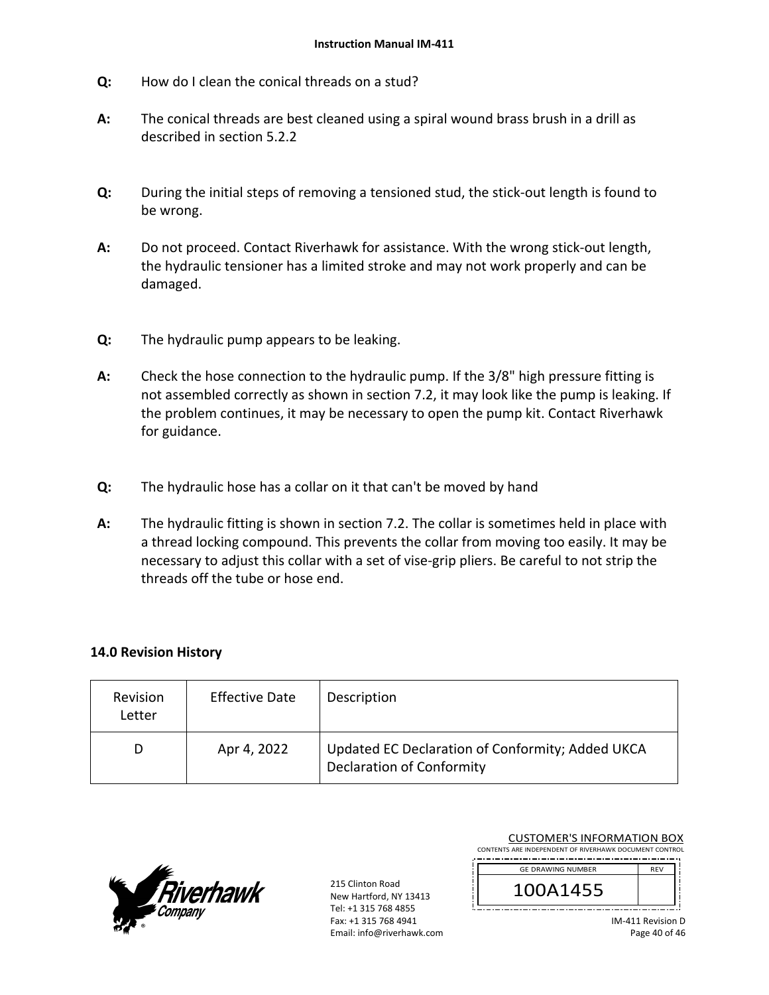- **Q:**  How do I clean the conical threads on a stud?
- **A:**  The conical threads are best cleaned using a spiral wound brass brush in a drill as described in section 5.2.2
- **Q:**  During the initial steps of removing a tensioned stud, the stick‐out length is found to be wrong.
- **A:**  Do not proceed. Contact Riverhawk for assistance. With the wrong stick-out length, the hydraulic tensioner has a limited stroke and may not work properly and can be damaged.
- **Q:**  The hydraulic pump appears to be leaking.
- **A:**  Check the hose connection to the hydraulic pump. If the 3/8" high pressure fitting is not assembled correctly as shown in section 7.2, it may look like the pump is leaking. If the problem continues, it may be necessary to open the pump kit. Contact Riverhawk for guidance.
- **Q:**  The hydraulic hose has a collar on it that can't be moved by hand
- **A:**  The hydraulic fitting is shown in section 7.2. The collar is sometimes held in place with a thread locking compound. This prevents the collar from moving too easily. It may be necessary to adjust this collar with a set of vise-grip pliers. Be careful to not strip the threads off the tube or hose end.

## **14.0 Revision History**

| Revision<br>Letter | <b>Effective Date</b> | Description                                                                          |
|--------------------|-----------------------|--------------------------------------------------------------------------------------|
| D                  | Apr 4, 2022           | Updated EC Declaration of Conformity; Added UKCA<br><b>Declaration of Conformity</b> |



215 Clinton Road New Hartford, NY 13413 Tel: +1 315 768 4855 Fax: +1 315 768 4941 Email: info@riverhawk.com

| CONTENTS ARE INDEPENDENT OF RIVERHAWK DOCUMENT CONTROL |            |
|--------------------------------------------------------|------------|
| <b>GE DRAWING NUMBER</b>                               | <b>REV</b> |
| 100A1455                                               |            |
|                                                        |            |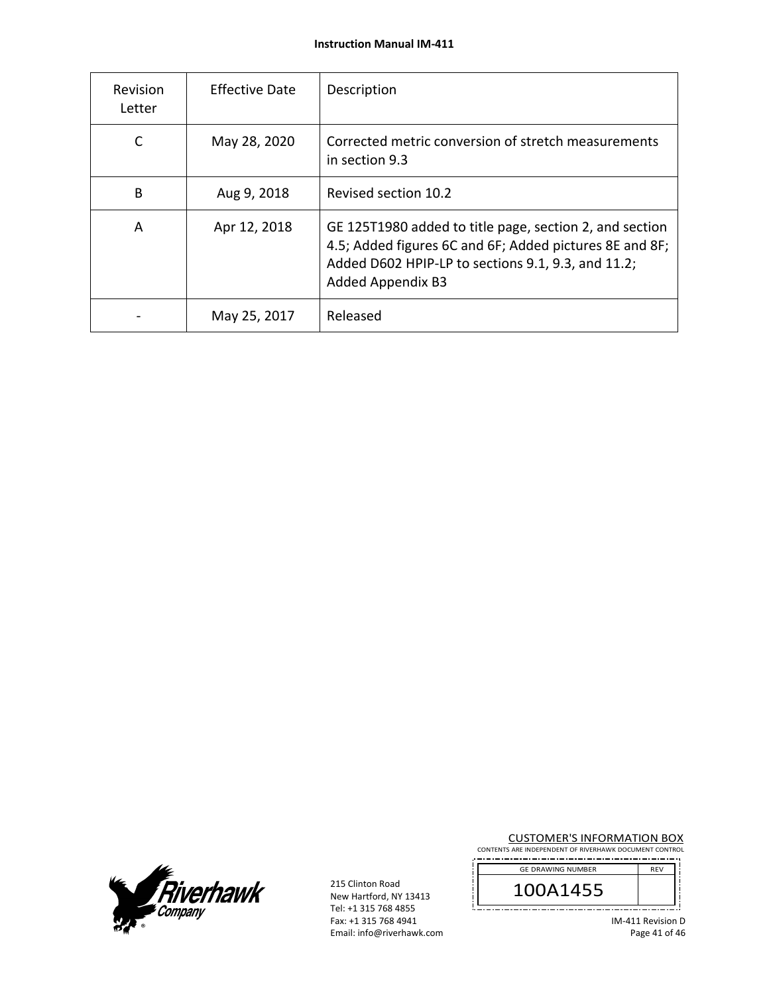| Revision<br>Letter | <b>Effective Date</b> | Description                                                                                                                                                                                          |
|--------------------|-----------------------|------------------------------------------------------------------------------------------------------------------------------------------------------------------------------------------------------|
| C                  | May 28, 2020          | Corrected metric conversion of stretch measurements<br>in section 9.3                                                                                                                                |
| B                  | Aug 9, 2018           | Revised section 10.2                                                                                                                                                                                 |
| A                  | Apr 12, 2018          | GE 125T1980 added to title page, section 2, and section<br>4.5; Added figures 6C and 6F; Added pictures 8E and 8F;<br>Added D602 HPIP-LP to sections 9.1, 9.3, and 11.2;<br><b>Added Appendix B3</b> |
|                    | May 25, 2017          | Released                                                                                                                                                                                             |



215 Clinton Road New Hartford, NY 13413 Tel: +1 315 768 4855 Fax: +1 315 768 4941 Email: info@riverhawk.com CUSTOMER'S INFORMATION BOX

CONTENTS ARE INDEPENDENT OF RIVERHAWK DOCUMENT CONTROL 

IM‐411 Revision D Page 41 of 46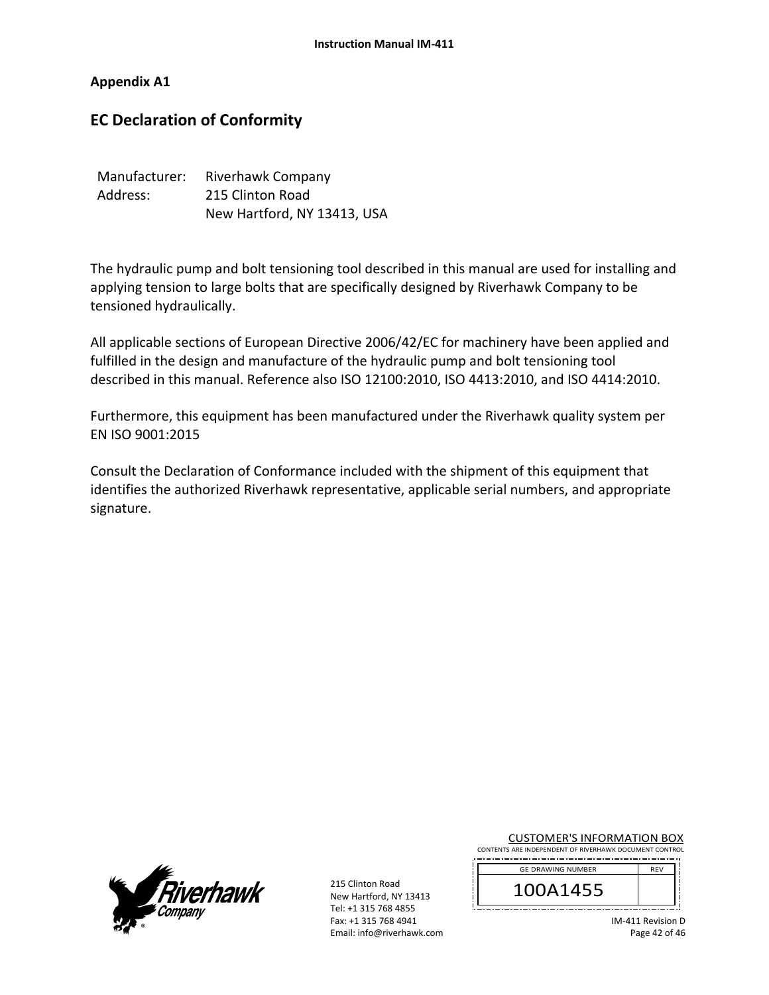**Appendix A1** 

# **EC Declaration of Conformity**

| Manufacturer: | Riverhawk Company           |
|---------------|-----------------------------|
| Address:      | 215 Clinton Road            |
|               | New Hartford, NY 13413, USA |

The hydraulic pump and bolt tensioning tool described in this manual are used for installing and applying tension to large bolts that are specifically designed by Riverhawk Company to be tensioned hydraulically.

All applicable sections of European Directive 2006/42/EC for machinery have been applied and fulfilled in the design and manufacture of the hydraulic pump and bolt tensioning tool described in this manual. Reference also ISO 12100:2010, ISO 4413:2010, and ISO 4414:2010.

Furthermore, this equipment has been manufactured under the Riverhawk quality system per EN ISO 9001:2015

Consult the Declaration of Conformance included with the shipment of this equipment that identifies the authorized Riverhawk representative, applicable serial numbers, and appropriate signature.



215 Clinton Road New Hartford, NY 13413 Tel: +1 315 768 4855 Fax: +1 315 768 4941 Email: info@riverhawk.com

CUSTOMER'S INFORMATION BOX CONTENTS ARE INDEPENDENT OF RIVERHAWK DOCUMENT CONTROL

| <b>GE DRAWING NUMBER</b> |  |
|--------------------------|--|
| 455<br>. .               |  |

IM‐411 Revision D Page 42 of 46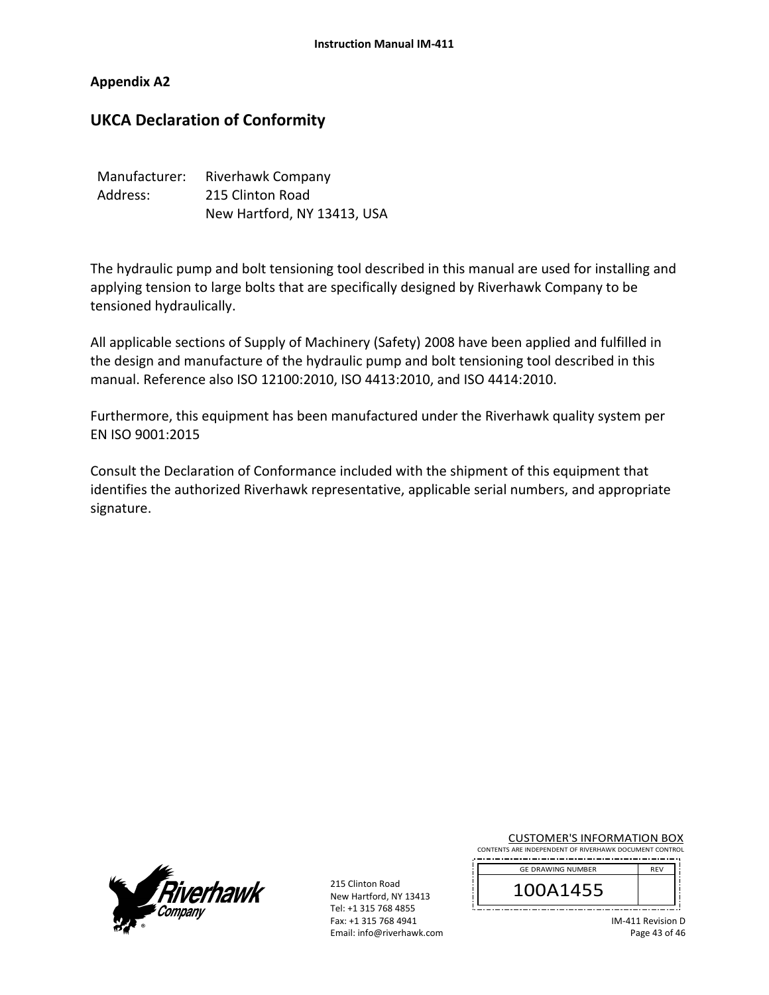## **Appendix A2**

# **UKCA Declaration of Conformity**

| Manufacturer: | Riverhawk Company           |
|---------------|-----------------------------|
| Address:      | 215 Clinton Road            |
|               | New Hartford, NY 13413, USA |

The hydraulic pump and bolt tensioning tool described in this manual are used for installing and applying tension to large bolts that are specifically designed by Riverhawk Company to be tensioned hydraulically.

All applicable sections of Supply of Machinery (Safety) 2008 have been applied and fulfilled in the design and manufacture of the hydraulic pump and bolt tensioning tool described in this manual. Reference also ISO 12100:2010, ISO 4413:2010, and ISO 4414:2010.

Furthermore, this equipment has been manufactured under the Riverhawk quality system per EN ISO 9001:2015

Consult the Declaration of Conformance included with the shipment of this equipment that identifies the authorized Riverhawk representative, applicable serial numbers, and appropriate signature.



215 Clinton Road New Hartford, NY 13413 Tel: +1 315 768 4855 Fax: +1 315 768 4941 Email: info@riverhawk.com

CUSTOMER'S INFORMATION BOX CONTENTS ARE INDEPENDENT OF RIVERHAWK DOCUMENT CONTROL

| $CF$ $DF$ $A1$ , $B1$ , $CF$ , $CF$ , $DF$ , $DF$ , $DF$ |  |
|----------------------------------------------------------|--|

| <b>GE DRAWING NUMBER</b> | <b>REV</b> |
|--------------------------|------------|
| 0A1455                   |            |
|                          |            |

IM‐411 Revision D Page 43 of 46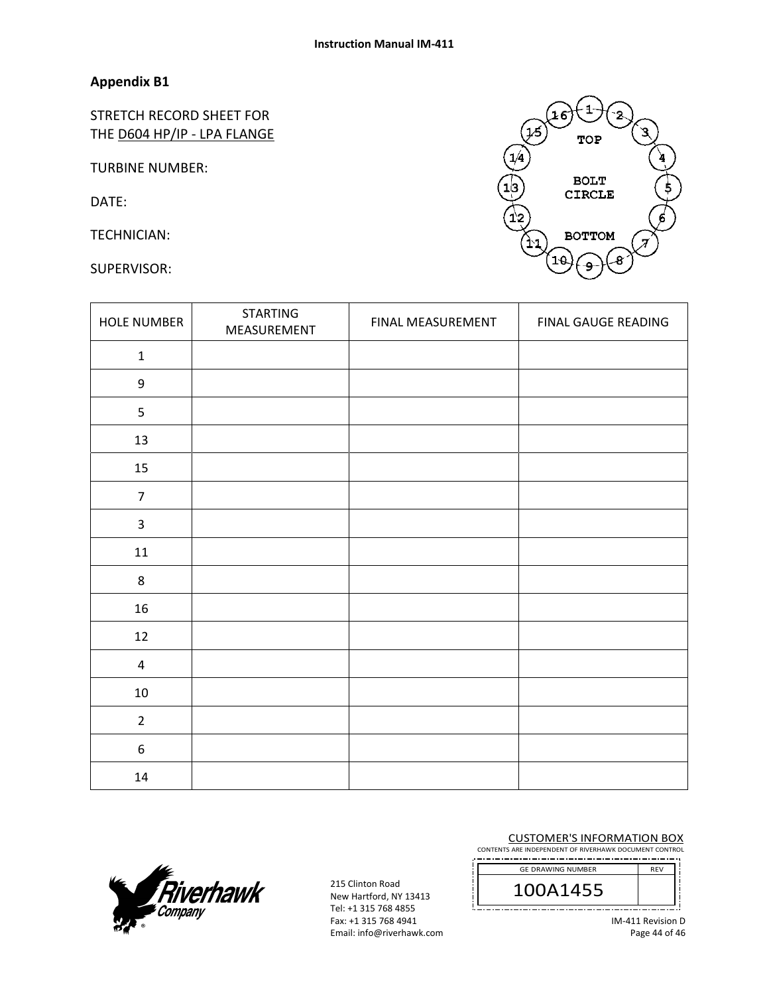# **Appendix B1**

STRETCH RECORD SHEET FOR THE D604 HP/IP - LPA FLANGE

TURBINE NUMBER:

DATE:

TECHNICIAN:

SUPERVISOR:



| <b>HOLE NUMBER</b> | <b>STARTING</b><br>MEASUREMENT | FINAL MEASUREMENT | FINAL GAUGE READING |
|--------------------|--------------------------------|-------------------|---------------------|
| $\mathbf 1$        |                                |                   |                     |
| $\boldsymbol{9}$   |                                |                   |                     |
| 5                  |                                |                   |                     |
| 13                 |                                |                   |                     |
| 15                 |                                |                   |                     |
| $\overline{7}$     |                                |                   |                     |
| $\overline{3}$     |                                |                   |                     |
| 11                 |                                |                   |                     |
| $\,8\,$            |                                |                   |                     |
| 16                 |                                |                   |                     |
| 12                 |                                |                   |                     |
| $\pmb{4}$          |                                |                   |                     |
| 10                 |                                |                   |                     |
| $\overline{2}$     |                                |                   |                     |
| $\boldsymbol{6}$   |                                |                   |                     |
| 14                 |                                |                   |                     |



215 Clinton Road New Hartford, NY 13413 Tel: +1 315 768 4855 Fax: +1 315 768 4941 Email: info@riverhawk.com CUSTOMER'S INFORMATION BOX

CONTENTS ARE INDEPENDENT OF RIVERHAWK DOCUMENT CONTROL 

| <b>GE DRAWING NUMBER</b> |  |
|--------------------------|--|
| JA1455                   |  |
|                          |  |

IM‐411 Revision D Page 44 of 46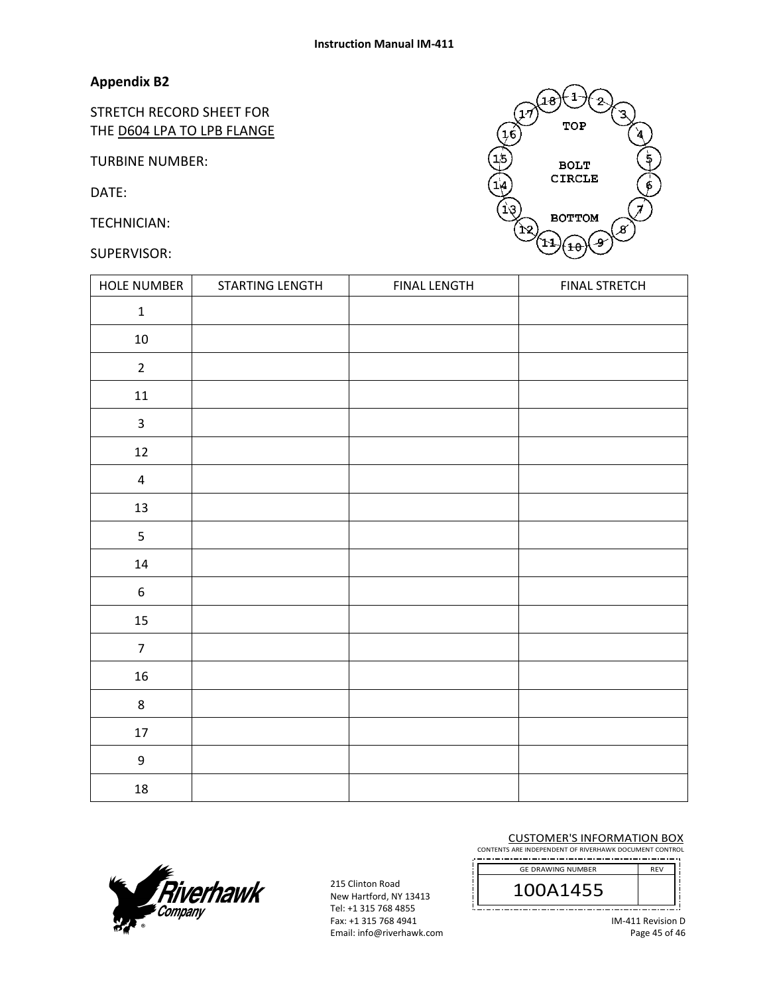# **Appendix B2**

STRETCH RECORD SHEET FOR THE D604 LPA TO LPB FLANGE

TURBINE NUMBER:

DATE:

TECHNICIAN:

## SUPERVISOR:



| HOLE NUMBER             | STARTING LENGTH | <b>FINAL LENGTH</b> | <b>FINAL STRETCH</b> |
|-------------------------|-----------------|---------------------|----------------------|
| $\mathbf 1$             |                 |                     |                      |
| $10\,$                  |                 |                     |                      |
| $\overline{2}$          |                 |                     |                      |
| $11\,$                  |                 |                     |                      |
| $\mathbf{3}$            |                 |                     |                      |
| $12\,$                  |                 |                     |                      |
| $\overline{\mathbf{4}}$ |                 |                     |                      |
| $13\,$                  |                 |                     |                      |
| 5                       |                 |                     |                      |
| $14\,$                  |                 |                     |                      |
| $\boldsymbol{6}$        |                 |                     |                      |
| 15                      |                 |                     |                      |
| $\overline{7}$          |                 |                     |                      |
| $16\,$                  |                 |                     |                      |
| $\,8\,$                 |                 |                     |                      |
| $17\,$                  |                 |                     |                      |
| $\boldsymbol{9}$        |                 |                     |                      |
| $18\,$                  |                 |                     |                      |



215 Clinton Road New Hartford, NY 13413 Tel: +1 315 768 4855 Fax: +1 315 768 4941 Email: info@riverhawk.com CUSTOMER'S INFORMATION BOX

CONTENTS ARE INDEPENDENT OF RIVERHAWK DOCUMENT CONTROL ----------------



IM‐411 Revision D Page 45 of 46